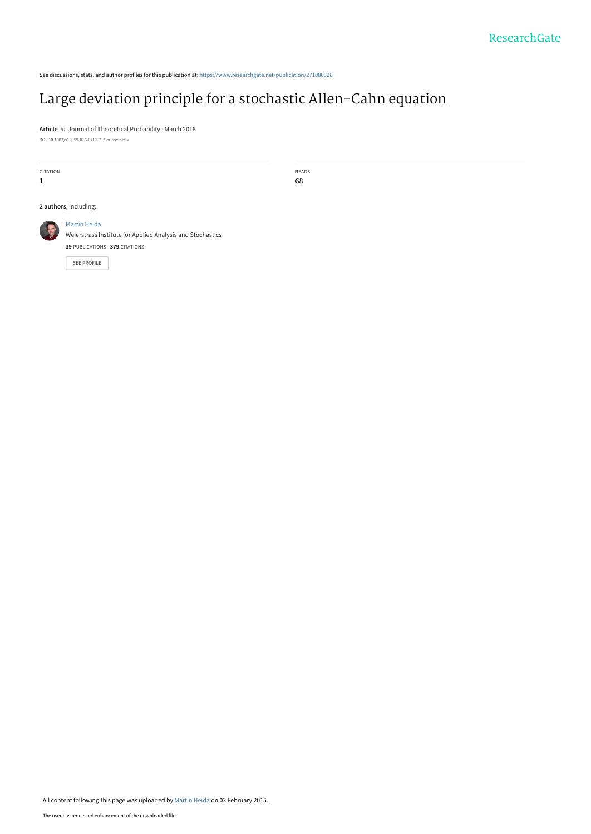See discussions, stats, and author profiles for this publication at: [https://www.researchgate.net/publication/271080328](https://www.researchgate.net/publication/271080328_Large_deviation_principle_for_a_stochastic_Allen-Cahn_equation?enrichId=rgreq-96d06b8c64e20881c7cab6fb71d77705-XXX&enrichSource=Y292ZXJQYWdlOzI3MTA4MDMyODtBUzoxOTI3NTQ1ODU3OTI1MTZAMTQyMjk2NzY4Mjg1Mg%3D%3D&el=1_x_2&_esc=publicationCoverPdf)

# [Large deviation principle for a stochastic Allen-Cahn equation](https://www.researchgate.net/publication/271080328_Large_deviation_principle_for_a_stochastic_Allen-Cahn_equation?enrichId=rgreq-96d06b8c64e20881c7cab6fb71d77705-XXX&enrichSource=Y292ZXJQYWdlOzI3MTA4MDMyODtBUzoxOTI3NTQ1ODU3OTI1MTZAMTQyMjk2NzY4Mjg1Mg%3D%3D&el=1_x_3&_esc=publicationCoverPdf)

**Article** in Journal of Theoretical Probability · March 2018 DOI: 10.1007/s10959-016-0711-7 · Source: arXiv

CITATION

1

READS 68

**2 authors**, including:



[Weierstrass Institute for Applied Analysis and Stochastics](https://www.researchgate.net/institution/Weierstrass-Institute-for-Applied-Analysis-and-Stochastics?enrichId=rgreq-96d06b8c64e20881c7cab6fb71d77705-XXX&enrichSource=Y292ZXJQYWdlOzI3MTA4MDMyODtBUzoxOTI3NTQ1ODU3OTI1MTZAMTQyMjk2NzY4Mjg1Mg%3D%3D&el=1_x_6&_esc=publicationCoverPdf) **39** PUBLICATIONS **379** CITATIONS

[SEE PROFILE](https://www.researchgate.net/profile/Martin-Heida?enrichId=rgreq-96d06b8c64e20881c7cab6fb71d77705-XXX&enrichSource=Y292ZXJQYWdlOzI3MTA4MDMyODtBUzoxOTI3NTQ1ODU3OTI1MTZAMTQyMjk2NzY4Mjg1Mg%3D%3D&el=1_x_7&_esc=publicationCoverPdf)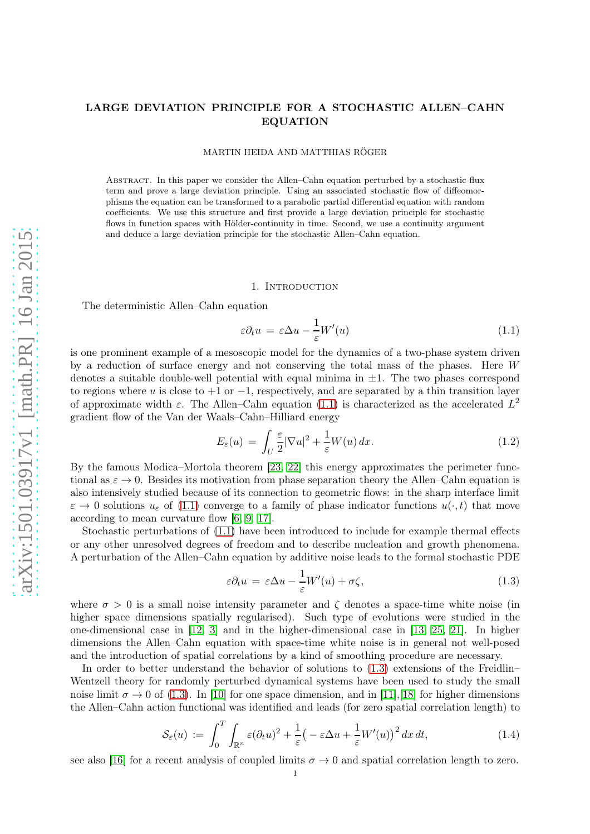## LARGE DEVIATION PRINCIPLE FOR A STOCHASTIC ALLEN–CAHN EQUATION

MARTIN HEIDA AND MATTHIAS RÖGER

Abstract. In this paper we consider the Allen–Cahn equation perturbed by a stochastic flux term and prove a large deviation principle. Using an associated stochastic flow of diffeomorphisms the equation can be transformed to a parabolic partial differential equation with random coefficients. We use this structure and first provide a large deviation principle for stochastic flows in function spaces with Hölder-continuity in time. Second, we use a continuity argument and deduce a large deviation principle for the stochastic Allen–Cahn equation.

## <span id="page-1-0"></span>1. Introduction

The deterministic Allen–Cahn equation

$$
\varepsilon \partial_t u = \varepsilon \Delta u - \frac{1}{\varepsilon} W'(u) \tag{1.1}
$$

is one prominent example of a mesoscopic model for the dynamics of a two-phase system driven by a reduction of surface energy and not conserving the total mass of the phases. Here W denotes a suitable double-well potential with equal minima in  $\pm 1$ . The two phases correspond to regions where u is close to  $+1$  or  $-1$ , respectively, and are separated by a thin transition layer of approximate width  $\varepsilon$ . The Allen–Cahn equation [\(1.1\)](#page-1-0) is characterized as the accelerated  $L^2$ gradient flow of the Van der Waals–Cahn–Hilliard energy

$$
E_{\varepsilon}(u) = \int_{U} \frac{\varepsilon}{2} |\nabla u|^{2} + \frac{1}{\varepsilon} W(u) dx.
$$
 (1.2)

By the famous Modica–Mortola theorem [\[23,](#page-17-0) [22\]](#page-17-1) this energy approximates the perimeter functional as  $\varepsilon \to 0$ . Besides its motivation from phase separation theory the Allen–Cahn equation is also intensively studied because of its connection to geometric flows: in the sharp interface limit  $\varepsilon \to 0$  solutions  $u_{\varepsilon}$  of [\(1.1\)](#page-1-0) converge to a family of phase indicator functions  $u(\cdot, t)$  that move according to mean curvature flow [\[6,](#page-17-2) [9,](#page-17-3) [17\]](#page-17-4).

Stochastic perturbations of [\(1.1\)](#page-1-0) have been introduced to include for example thermal effects or any other unresolved degrees of freedom and to describe nucleation and growth phenomena. A perturbation of the Allen–Cahn equation by additive noise leads to the formal stochastic PDE

<span id="page-1-1"></span>
$$
\varepsilon \partial_t u = \varepsilon \Delta u - \frac{1}{\varepsilon} W'(u) + \sigma \zeta,
$$
\n(1.3)

where  $\sigma > 0$  is a small noise intensity parameter and  $\zeta$  denotes a space-time white noise (in higher space dimensions spatially regularised). Such type of evolutions were studied in the one-dimensional case in [\[12,](#page-17-5) [3\]](#page-17-6) and in the higher-dimensional case in [\[13,](#page-17-7) [25,](#page-17-8) [21\]](#page-17-9). In higher dimensions the Allen–Cahn equation with space-time white noise is in general not well-posed and the introduction of spatial correlations by a kind of smoothing procedure are necessary.

In order to better understand the behavior of solutions to [\(1.3\)](#page-1-1) extensions of the Freidlin– Wentzell theory for randomly perturbed dynamical systems have been used to study the small noise limit  $\sigma \to 0$  of [\(1.3\)](#page-1-1). In [\[10\]](#page-17-10) for one space dimension, and in [\[11\]](#page-17-11), [\[18\]](#page-17-12) for higher dimensions the Allen–Cahn action functional was identified and leads (for zero spatial correlation length) to

$$
\mathcal{S}_{\varepsilon}(u) := \int_0^T \int_{\mathbb{R}^n} \varepsilon (\partial_t u)^2 + \frac{1}{\varepsilon} \left( -\varepsilon \Delta u + \frac{1}{\varepsilon} W'(u) \right)^2 dx dt, \tag{1.4}
$$

see also [\[16\]](#page-17-13) for a recent analysis of coupled limits  $\sigma \to 0$  and spatial correlation length to zero.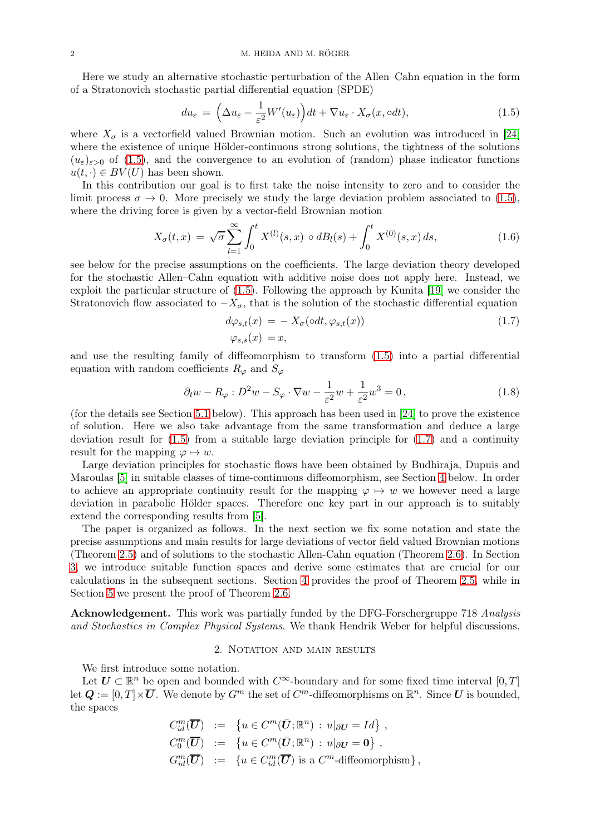Here we study an alternative stochastic perturbation of the Allen–Cahn equation in the form of a Stratonovich stochastic partial differential equation (SPDE)

<span id="page-2-0"></span>
$$
du_{\varepsilon} = \left(\Delta u_{\varepsilon} - \frac{1}{\varepsilon^2} W'(u_{\varepsilon})\right) dt + \nabla u_{\varepsilon} \cdot X_{\sigma}(x, \text{od}t),\tag{1.5}
$$

where  $X_{\sigma}$  is a vectorfield valued Brownian motion. Such an evolution was introduced in [\[24\]](#page-17-14) where the existence of unique Hölder-continuous strong solutions, the tightness of the solutions  $(u_{\varepsilon})_{\varepsilon>0}$  of [\(1.5\)](#page-2-0), and the convergence to an evolution of (random) phase indicator functions  $u(t, \cdot) \in BV(U)$  has been shown.

In this contribution our goal is to first take the noise intensity to zero and to consider the limit process  $\sigma \to 0$ . More precisely we study the large deviation problem associated to [\(1.5\)](#page-2-0), where the driving force is given by a vector-field Brownian motion

$$
X_{\sigma}(t,x) = \sqrt{\sigma} \sum_{l=1}^{\infty} \int_0^t X^{(l)}(s,x) \circ dB_l(s) + \int_0^t X^{(0)}(s,x) \, ds,\tag{1.6}
$$

see below for the precise assumptions on the coefficients. The large deviation theory developed for the stochastic Allen–Cahn equation with additive noise does not apply here. Instead, we exploit the particular structure of [\(1.5\)](#page-2-0). Following the approach by Kunita [\[19\]](#page-17-15) we consider the Stratonovich flow associated to  $-X_{\sigma}$ , that is the solution of the stochastic differential equation

<span id="page-2-2"></span><span id="page-2-1"></span>
$$
d\varphi_{s,t}(x) = -X_{\sigma}(\circ dt, \varphi_{s,t}(x))
$$
  
\n
$$
\varphi_{s,s}(x) = x,
$$
\n(1.7)

and use the resulting family of diffeomorphism to transform [\(1.5\)](#page-2-0) into a partial differential equation with random coefficients  $R_{\varphi}$  and  $S_{\varphi}$ 

$$
\partial_t w - R_\varphi : D^2 w - S_\varphi \cdot \nabla w - \frac{1}{\varepsilon^2} w + \frac{1}{\varepsilon^2} w^3 = 0, \qquad (1.8)
$$

(for the details see Section [5.1](#page-14-0) below). This approach has been used in [\[24\]](#page-17-14) to prove the existence of solution. Here we also take advantage from the same transformation and deduce a large deviation result for [\(1.5\)](#page-2-0) from a suitable large deviation principle for [\(1.7\)](#page-2-1) and a continuity result for the mapping  $\varphi \mapsto w$ .

Large deviation principles for stochastic flows have been obtained by Budhiraja, Dupuis and Maroulas [\[5\]](#page-17-16) in suitable classes of time-continuous diffeomorphism, see Section [4](#page-9-0) below. In order to achieve an appropriate continuity result for the mapping  $\varphi \mapsto w$  we however need a large deviation in parabolic Hölder spaces. Therefore one key part in our approach is to suitably extend the corresponding results from [\[5\]](#page-17-16).

The paper is organized as follows. In the next section we fix some notation and state the precise assumptions and main results for large deviations of vector field valued Brownian motions (Theorem [2.5\)](#page-4-0) and of solutions to the stochastic Allen-Cahn equation (Theorem [2.6\)](#page-5-0). In Section [3,](#page-5-1) we introduce suitable function spaces and derive some estimates that are crucial for our calculations in the subsequent sections. Section [4](#page-9-0) provides the proof of Theorem [2.5,](#page-4-0) while in Section [5](#page-14-1) we present the proof of Theorem [2.6.](#page-5-0)

Acknowledgement. This work was partially funded by the DFG-Forschergruppe 718 Analysis and Stochastics in Complex Physical Systems. We thank Hendrik Weber for helpful discussions.

## 2. NOTATION AND MAIN RESULTS

We first introduce some notation.

Let  $U \subset \mathbb{R}^n$  be open and bounded with  $C^{\infty}$ -boundary and for some fixed time interval  $[0, T]$ let  $\mathbf{Q} := [0, T] \times \overline{\mathbf{U}}$ . We denote by  $G^m$  the set of  $C^m$ -diffeomorphisms on  $\mathbb{R}^n$ . Since  $\mathbf{U}$  is bounded, the spaces

$$
C_{id}^{m}(\overline{U}) := \{ u \in C^{m}(\overline{U}; \mathbb{R}^{n}) : u|_{\partial U} = Id \},
$$
  
\n
$$
C_{0}^{m}(\overline{U}) := \{ u \in C^{m}(\overline{U}; \mathbb{R}^{n}) : u|_{\partial U} = 0 \},
$$
  
\n
$$
G_{id}^{m}(\overline{U}) := \{ u \in C_{id}^{m}(\overline{U}) \text{ is a } C^{m}\text{-diffeomorphism} \},
$$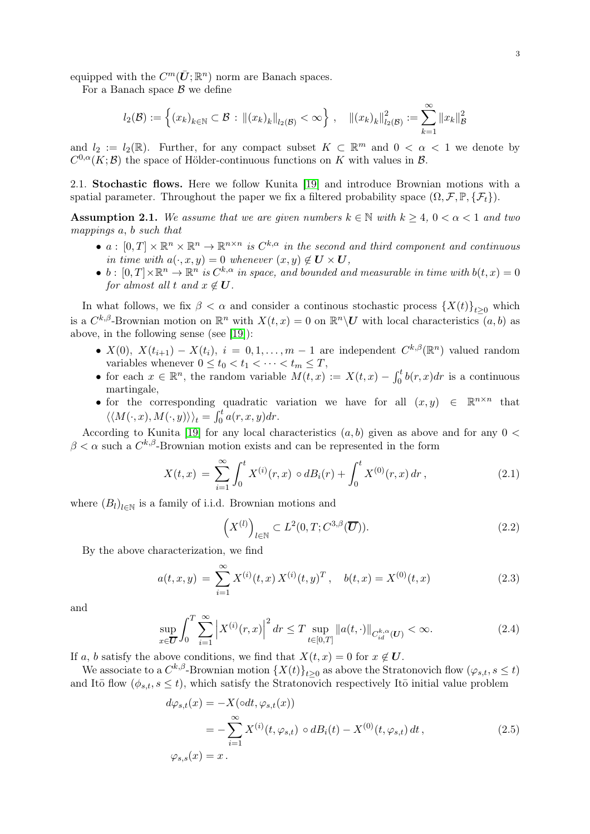equipped with the  $C^m(\bar{\mathbf{U}}; \mathbb{R}^n)$  norm are Banach spaces.

For a Banach space  $\beta$  we define

$$
l_2(\mathcal{B}) := \left\{ (x_k)_{k \in \mathbb{N}} \subset \mathcal{B} : ||(x_k)_k||_{l_2(\mathcal{B})} < \infty \right\}, \quad ||(x_k)_k||_{l_2(\mathcal{B})}^2 := \sum_{k=1}^{\infty} ||x_k||_{\mathcal{B}}^2
$$

and  $l_2 := l_2(\mathbb{R})$ . Further, for any compact subset  $K \subset \mathbb{R}^m$  and  $0 < \alpha < 1$  we denote by  $C^{0,\alpha}(K;\mathcal{B})$  the space of Hölder-continuous functions on K with values in  $\mathcal{B}$ .

<span id="page-3-2"></span>2.1. Stochastic flows. Here we follow Kunita [\[19\]](#page-17-15) and introduce Brownian motions with a spatial parameter. Throughout the paper we fix a filtered probability space  $(\Omega, \mathcal{F}, \mathbb{P}, \{\mathcal{F}_t\})$ .

<span id="page-3-0"></span>Assumption 2.1. We assume that we are given numbers  $k \in \mathbb{N}$  with  $k \geq 4$ ,  $0 < \alpha < 1$  and two mappings a, b such that

- $a: [0,T] \times \mathbb{R}^n \times \mathbb{R}^n \to \mathbb{R}^{n \times n}$  is  $C^{k,\alpha}$  in the second and third component and continuous in time with  $a(\cdot, x, y) = 0$  whenever  $(x, y) \notin U \times U$ ,
- $b:[0,T]\times\mathbb{R}^n\to\mathbb{R}^n$  is  $C^{k,\alpha}$  in space, and bounded and measurable in time with  $b(t,x)=0$ for almost all t and  $x \notin U$ .

In what follows, we fix  $\beta < \alpha$  and consider a continous stochastic process  $\{X(t)\}_{t>0}$  which is a  $C^{k,\beta}$ -Brownian motion on  $\mathbb{R}^n$  with  $X(t,x) = 0$  on  $\mathbb{R}^n \setminus U$  with local characteristics  $(a, b)$  as above, in the following sense (see [\[19\]](#page-17-15)):

- $X(0)$ ,  $X(t_{i+1}) X(t_i)$ ,  $i = 0, 1, ..., m-1$  are independent  $C^{k,\beta}(\mathbb{R}^n)$  valued random variables whenever  $0 \le t_0 < t_1 < \cdots < t_m \le T$ ,
- for each  $x \in \mathbb{R}^n$ , the random variable  $M(t,x) := X(t,x) \int_0^t b(r,x) dr$  is a continuous martingale,
- for the corresponding quadratic variation we have for all  $(x, y) \in \mathbb{R}^{n \times n}$  that  $\langle\langle M(\cdot, x), M(\cdot, y)\rangle\rangle_t = \int_0^t a(r, x, y) dr.$

According to Kunita [\[19\]](#page-17-15) for any local characteristics  $(a, b)$  given as above and for any  $0 <$  $\beta < \alpha$  such a  $C^{k,\beta}$ -Brownian motion exists and can be represented in the form

$$
X(t,x) = \sum_{i=1}^{\infty} \int_0^t X^{(i)}(r,x) \circ dB_i(r) + \int_0^t X^{(0)}(r,x) dr , \qquad (2.1)
$$

where  $(B_l)_{l \in \mathbb{N}}$  is a family of i.i.d. Brownian motions and

$$
\left(X^{(l)}\right)_{l\in\mathbb{N}}\subset L^2(0,T;C^{3,\beta}(\overline{\mathbf{U}})).\tag{2.2}
$$

By the above characterization, we find

$$
a(t, x, y) = \sum_{i=1}^{\infty} X^{(i)}(t, x) X^{(i)}(t, y)^{T}, \quad b(t, x) = X^{(0)}(t, x)
$$
 (2.3)

and

<span id="page-3-3"></span>
$$
\sup_{x \in \overline{U}} \int_0^T \sum_{i=1}^\infty \left| X^{(i)}(r, x) \right|^2 dr \le T \sup_{t \in [0, T]} \| a(t, \cdot) \|_{C_{id}^{k, \alpha}(U)} < \infty.
$$
 (2.4)

If a, b satisfy the above conditions, we find that  $X(t, x) = 0$  for  $x \notin U$ .

We associate to a  $C^{k,\beta}$ -Brownian motion  $\{X(t)\}_{t\geq 0}$  as above the Stratonovich flow  $(\varphi_{s,t}, s \leq t)$ and Itō flow  $(\phi_{s,t}, s \leq t)$ , which satisfy the Stratonovich respectively Itō initial value problem

<span id="page-3-1"></span>
$$
d\varphi_{s,t}(x) = -X(\circ dt, \varphi_{s,t}(x))
$$
  
= 
$$
-\sum_{i=1}^{\infty} X^{(i)}(t, \varphi_{s,t}) \circ dB_i(t) - X^{(0)}(t, \varphi_{s,t}) dt,
$$
  

$$
\varphi_{s,s}(x) = x.
$$
 (2.5)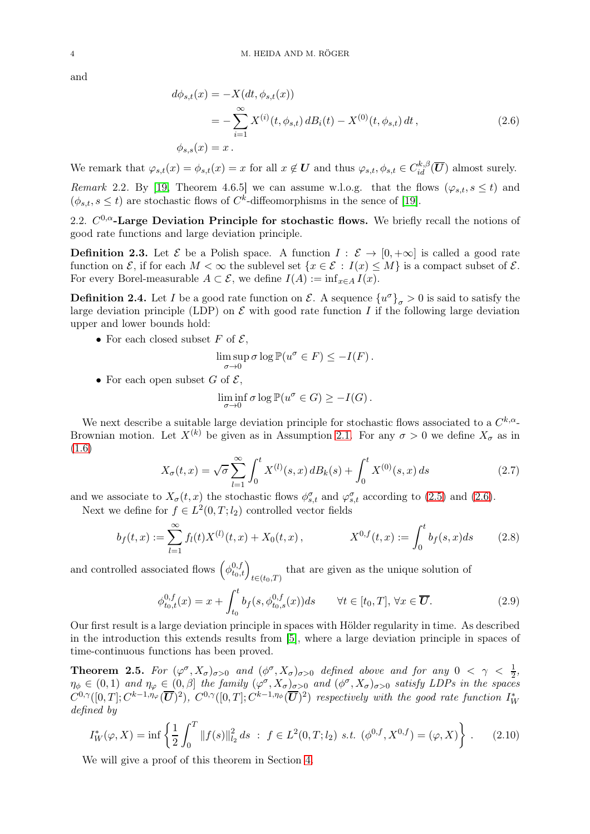and

<span id="page-4-1"></span>
$$
d\phi_{s,t}(x) = -X(dt, \phi_{s,t}(x))
$$
  
= 
$$
-\sum_{i=1}^{\infty} X^{(i)}(t, \phi_{s,t}) dB_i(t) - X^{(0)}(t, \phi_{s,t}) dt,
$$
  

$$
\phi_{s,s}(x) = x.
$$
 (2.6)

We remark that  $\varphi_{s,t}(x) = \phi_{s,t}(x) = x$  for all  $x \notin U$  and thus  $\varphi_{s,t}, \phi_{s,t} \in C_{id}^{k,\beta}(\overline{U})$  almost surely.

Remark 2.2. By [\[19,](#page-17-15) Theorem 4.6.5] we can assume w.l.o.g. that the flows  $(\varphi_{s,t}, s \le t)$  and  $(\phi_{s,t}, s \le t)$  are stochastic flows of  $C^k$ -diffeomorphisms in the sence of [\[19\]](#page-17-15).

2.2.  $C^{0,\alpha}$ -Large Deviation Principle for stochastic flows. We briefly recall the notions of good rate functions and large deviation principle.

**Definition 2.3.** Let  $\mathcal{E}$  be a Polish space. A function  $I : \mathcal{E} \to [0, +\infty]$  is called a good rate function on  $\mathcal{E}$ , if for each  $M < \infty$  the sublevel set  $\{x \in \mathcal{E} : I(x) \leq M\}$  is a compact subset of  $\mathcal{E}$ . For every Borel-measurable  $A \subset \mathcal{E}$ , we define  $I(A) := \inf_{x \in A} I(x)$ .

**Definition 2.4.** Let I be a good rate function on  $\mathcal{E}$ . A sequence  $\{u^{\sigma}\}_{\sigma} > 0$  is said to satisfy the large deviation principle (LDP) on  $\mathcal E$  with good rate function I if the following large deviation upper and lower bounds hold:

• For each closed subset F of  $\mathcal{E},$ 

$$
\limsup_{\sigma \to 0} \sigma \log \mathbb{P}(u^{\sigma} \in F) \le -I(F).
$$

• For each open subset G of  $\mathcal{E}$ ,

<span id="page-4-3"></span>
$$
\liminf_{\sigma \to 0} \sigma \log \mathbb{P}(u^{\sigma} \in G) \ge -I(G).
$$

We next describe a suitable large deviation principle for stochastic flows associated to a  $C^{k,\alpha}$ -Brownian motion. Let  $X^{(k)}$  be given as in Assumption [2.1.](#page-3-0) For any  $\sigma > 0$  we define  $X_{\sigma}$  as in [\(1.6\)](#page-2-2)

<span id="page-4-2"></span>
$$
X_{\sigma}(t,x) = \sqrt{\sigma} \sum_{l=1}^{\infty} \int_0^t X^{(l)}(s,x) dB_k(s) + \int_0^t X^{(0)}(s,x) ds \qquad (2.7)
$$

and we associate to  $X_{\sigma}(t,x)$  the stochastic flows  $\phi_{s,t}^{\sigma}$  and  $\varphi_{s,t}^{\sigma}$  according to [\(2.5\)](#page-3-1) and [\(2.6\)](#page-4-1).

Next we define for  $f \in L^2(0,T; l_2)$  controlled vector fields

$$
b_f(t,x) := \sum_{l=1}^{\infty} f_l(t) X^{(l)}(t,x) + X_0(t,x), \qquad X^{0,f}(t,x) := \int_0^t b_f(s,x)ds \qquad (2.8)
$$

and controlled associated flows  $(\phi_{t_0,t}^{0,f})_{t\in(t_0,T)}$  that are given as the unique solution of

<span id="page-4-5"></span>
$$
\phi_{t_0,t}^{0,f}(x) = x + \int_{t_0}^t b_f(s, \phi_{t_0,s}^{0,f}(x))ds \qquad \forall t \in [t_0, T], \forall x \in \overline{U}.
$$
\n(2.9)

Our first result is a large deviation principle in spaces with Hölder regularity in time. As described in the introduction this extends results from [\[5\]](#page-17-16), where a large deviation principle in spaces of time-continuous functions has been proved.

<span id="page-4-0"></span>**Theorem 2.5.** For  $(\varphi^{\sigma}, X_{\sigma})_{\sigma>0}$  and  $(\varphi^{\sigma}, X_{\sigma})_{\sigma>0}$  defined above and for any  $0 < \gamma < \frac{1}{2}$ ,  $\eta_{\phi} \in (0,1)$  and  $\eta_{\varphi} \in (0,\beta]$  the family  $(\varphi^{\sigma}, X_{\sigma})_{\sigma>0}$  and  $(\phi^{\sigma}, X_{\sigma})_{\sigma>0}$  satisfy LDPs in the spaces  $C^{0,\gamma}([0,T];C^{k-1,\eta_{\varphi}}(\overline{\bm{U}})^2), C^{0,\gamma}([0,T];C^{k-1,\eta_{\phi}}(\overline{\bm{U}})^2)$  respectively with the good rate function  $I_W^*$ defined by

<span id="page-4-4"></span>
$$
I_W^*(\varphi, X) = \inf \left\{ \frac{1}{2} \int_0^T \|f(s)\|_{l_2}^2 ds \; : \; f \in L^2(0, T; l_2) \text{ s.t. } (\phi^{0, f}, X^{0, f}) = (\varphi, X) \right\}. \tag{2.10}
$$

We will give a proof of this theorem in Section [4.](#page-9-0)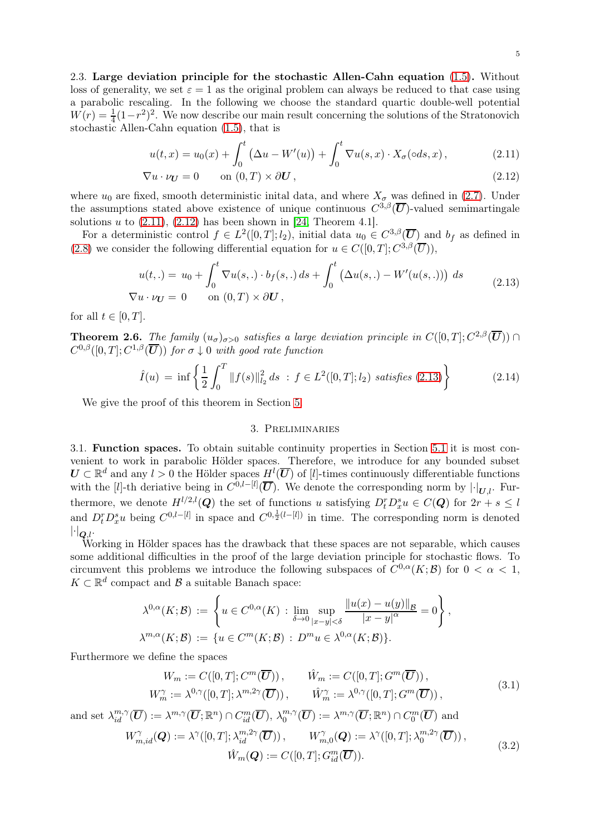2.3. Large deviation principle for the stochastic Allen-Cahn equation [\(1.5\)](#page-2-0). Without loss of generality, we set  $\varepsilon = 1$  as the original problem can always be reduced to that case using a parabolic rescaling. In the following we choose the standard quartic double-well potential  $W(r) = \frac{1}{4}(1-r^2)^2$ . We now describe our main result concerning the solutions of the Stratonovich stochastic Allen-Cahn equation [\(1.5\)](#page-2-0), that is

<span id="page-5-3"></span><span id="page-5-2"></span>
$$
u(t,x) = u_0(x) + \int_0^t (\Delta u - W'(u)) + \int_0^t \nabla u(s,x) \cdot X_\sigma(\circ ds, x), \qquad (2.11)
$$

$$
\nabla u \cdot \nu_{\mathbf{U}} = 0 \qquad \text{on } (0, T) \times \partial \mathbf{U}, \tag{2.12}
$$

where  $u_0$  are fixed, smooth deterministic inital data, and where  $X_{\sigma}$  was defined in [\(2.7\)](#page-4-2). Under the assumptions stated above existence of unique continuous  $C^{3,\beta}(\overline{U})$ -valued semimartingale solutions u to  $(2.11)$ ,  $(2.12)$  has been shown in [\[24,](#page-17-14) Theorem 4.1].

For a deterministic control  $f \in L^2([0,T];l_2)$ , initial data  $u_0 \in C^{3,\beta}(\overline{U})$  and  $b_f$  as defined in [\(2.8\)](#page-4-3) we consider the following differential equation for  $u \in C([0, T]; C^{3, \beta}(\overline{U})),$ 

<span id="page-5-4"></span>
$$
u(t,.) = u_0 + \int_0^t \nabla u(s,.) \cdot b_f(s,.) ds + \int_0^t \left(\Delta u(s,.) - W'(u(s,.))\right) ds
$$
  

$$
\nabla u \cdot \nu_U = 0 \quad \text{on } (0,T) \times \partial U,
$$
 (2.13)

for all  $t \in [0, T]$ .

<span id="page-5-0"></span>**Theorem 2.6.** The family  $(u_{\sigma})_{\sigma>0}$  satisfies a large deviation principle in  $C([0,T]; C^{2,\beta}(\overline{U})) \cap$  $C^{0,\beta}([0,T];C^{1,\beta}(\overline{\bm{U}}))$  for  $\sigma\downarrow 0$  with good rate function

<span id="page-5-6"></span>
$$
\hat{I}(u) = \inf \left\{ \frac{1}{2} \int_0^T \|f(s)\|_{l_2}^2 ds \; : \; f \in L^2([0, T]; l_2) \; satisfies \; (2.13) \right\} \tag{2.14}
$$

<span id="page-5-1"></span>We give the proof of this theorem in Section [5.](#page-14-1)

## 3. Preliminaries

3.1. Function spaces. To obtain suitable continuity properties in Section [5.1](#page-14-0) it is most convenient to work in parabolic Hölder spaces. Therefore, we introduce for any bounded subset  $U \subset \mathbb{R}^d$  and any  $l > 0$  the Hölder spaces  $H^l(\overline{U})$  of [*l*]-times continuously differentiable functions with the [l]-th deriative being in  $C^{0,l-[l]}(\overline{\bm{U}})$ . We denote the corresponding norm by  $|\cdot|_{\bm{U},l}$ . Furthermore, we denote  $H^{l/2,l}(\mathbf{Q})$  the set of functions u satisfying  $D_t^r D_x^s u \in C(\mathbf{Q})$  for  $2r + s \leq l$ and  $D_t^r D_x^s u$  being  $C^{0,l-[l]}$  in space and  $C^{0,\frac{1}{2}(l-[l])}$  in time. The corresponding norm is denoted  $\lvert \cdot \rvert_{\mathb{Q},l}.$ 

Working in Hölder spaces has the drawback that these spaces are not separable, which causes some additional difficulties in the proof of the large deviation principle for stochastic flows. To circumvent this problems we introduce the following subspaces of  $C^{0,\alpha}(K;\mathcal{B})$  for  $0 < \alpha < 1$ ,  $K \subset \mathbb{R}^d$  compact and  $\mathcal B$  a suitable Banach space:

$$
\lambda^{0,\alpha}(K;\mathcal{B}) := \left\{ u \in C^{0,\alpha}(K) : \lim_{\delta \to 0} \sup_{|x-y| < \delta} \frac{\|u(x) - u(y)\|_{\mathcal{B}}}{|x-y|^{\alpha}} = 0 \right\},\newline \lambda^{m,\alpha}(K;\mathcal{B}) := \left\{ u \in C^m(K;\mathcal{B}) : D^m u \in \lambda^{0,\alpha}(K;\mathcal{B}) \right\}.
$$

Furthermore we define the spaces

$$
W_m := C([0, T]; C^m(\overline{U})), \qquad \hat{W}_m := C([0, T]; G^m(\overline{U})),
$$
  
\n
$$
W_m^{\gamma} := \lambda^{0, \gamma}([0, T]; \lambda^{m, 2\gamma}(\overline{U})), \qquad \hat{W}_m^{\gamma} := \lambda^{0, \gamma}([0, T]; G^m(\overline{U})),
$$
\n(3.1)

and set  $\lambda_{id}^{m,\gamma}(\overline{\mathbf{U}}) := \lambda^{m,\gamma}(\overline{\mathbf{U}}; \mathbb{R}^n) \cap C_{id}^m(\overline{\mathbf{U}}), \lambda_0^{m,\gamma}$  $\mathcal{O}_0^{m,\gamma}(\overline{\bm{U}}) := \lambda^{m,\gamma}(\overline{\bm{U}}; \mathbb{R}^n) \cap C_0^m(\overline{\bm{U}})$  and

<span id="page-5-5"></span>
$$
W_{m,id}^{\gamma}(\boldsymbol{Q}) := \lambda^{\gamma}([0,T]; \lambda_{id}^{m,2\gamma}(\overline{\boldsymbol{U}})), \qquad W_{m,0}^{\gamma}(\boldsymbol{Q}) := \lambda^{\gamma}([0,T]; \lambda_0^{m,2\gamma}(\overline{\boldsymbol{U}})),
$$
  

$$
\hat{W}_m(\boldsymbol{Q}) := C([0,T]; G_{id}^m(\overline{\boldsymbol{U}})).
$$
\n(3.2)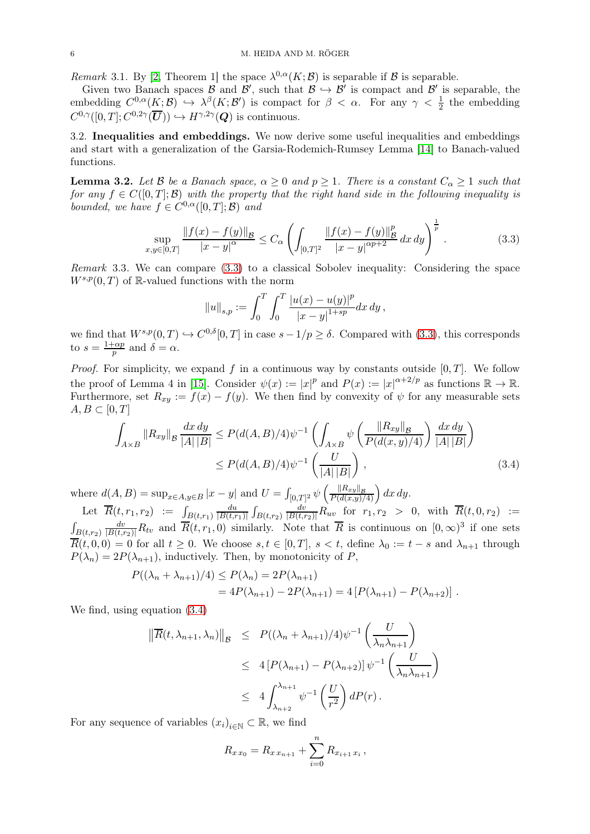<span id="page-6-3"></span>Remark 3.1. By [\[2,](#page-17-17) Theorem 1] the space  $\lambda^{0,\alpha}(K;\mathcal{B})$  is separable if  $\mathcal B$  is separable.

Given two Banach spaces  $\beta$  and  $\beta'$ , such that  $\beta \hookrightarrow \beta'$  is compact and  $\beta'$  is separable, the embedding  $C^{0,\alpha}(K;\mathcal{B}) \hookrightarrow \lambda^{\beta}(K;\mathcal{B}')$  is compact for  $\beta < \alpha$ . For any  $\gamma < \frac{1}{2}$  the embedding  $C^{0,\gamma}([0,T];C^{0,2\gamma}(\overline{\mathbf{U}})) \hookrightarrow H^{\gamma,2\gamma}(\mathbf{Q})$  is continuous.

3.2. Inequalities and embeddings. We now derive some useful inequalities and embeddings and start with a generalization of the Garsia-Rodemich-Rumsey Lemma [\[14\]](#page-17-18) to Banach-valued functions.

<span id="page-6-2"></span>**Lemma 3.2.** Let B be a Banach space,  $\alpha \geq 0$  and  $p \geq 1$ . There is a constant  $C_{\alpha} \geq 1$  such that for any  $f \in C([0,T];\mathcal{B})$  with the property that the right hand side in the following inequality is bounded, we have  $f \in C^{0,\alpha}([0,T];\mathcal{B})$  and

<span id="page-6-0"></span>
$$
\sup_{x,y\in[0,T]} \frac{\|f(x)-f(y)\|_{\mathcal{B}}}{|x-y|^{\alpha}} \leq C_{\alpha} \left( \int_{[0,T]^2} \frac{\|f(x)-f(y)\|_{\mathcal{B}}^p}{|x-y|^{\alpha p+2}} dx dy \right)^{\frac{1}{p}}.
$$
 (3.3)

Remark 3.3. We can compare [\(3.3\)](#page-6-0) to a classical Sobolev inequality: Considering the space  $W^{s,p}(0,T)$  of R-valued functions with the norm

<span id="page-6-1"></span>
$$
||u||_{s,p} := \int_0^T \int_0^T \frac{|u(x) - u(y)|^p}{|x - y|^{1 + sp}} dx dy,
$$

we find that  $W^{s,p}(0,T) \hookrightarrow C^{0,\delta}[0,T]$  in case  $s-1/p \geq \delta$ . Compared with [\(3.3\)](#page-6-0), this corresponds to  $s=\frac{1+\alpha p}{n}$  $\frac{\partial}{\partial p}$  and  $\delta = \alpha$ .

*Proof.* For simplicity, we expand f in a continuous way by constants outside  $[0, T]$ . We follow the proof of Lemma 4 in [\[15\]](#page-17-19). Consider  $\psi(x) := |x|^p$  and  $P(x) := |x|^{\alpha+2/p}$  as functions  $\mathbb{R} \to \mathbb{R}$ . Furthermore, set  $R_{xy} := f(x) - f(y)$ . We then find by convexity of  $\psi$  for any measurable sets  $A, B \subset [0, T]$ 

$$
\int_{A \times B} \|R_{xy}\|_{\mathcal{B}} \frac{dx \, dy}{|A| |B|} \le P(d(A, B)/4) \psi^{-1} \left( \int_{A \times B} \psi \left( \frac{\|R_{xy}\|_{\mathcal{B}}}{P(d(x, y)/4)} \right) \frac{dx \, dy}{|A| |B|} \right) \le P(d(A, B)/4) \psi^{-1} \left( \frac{U}{|A| |B|} \right), \tag{3.4}
$$

where  $d(A, B) = \sup_{x \in A, y \in B} |x - y|$  and  $U = \int_{[0, T]^2} \psi \left( \frac{||R_{xy}||_B}{P(d(x, y)/4)} \right) dx dy$ . du

Let  $\overline{R}(t, r_1, r_2) := \int_{B(t, r_1)}$  $\frac{du}{|B(t,r_1)|} \int_{B(t,r_2)}$  $\frac{dv}{|B(t,r_2)|}R_{uv}$  for  $r_1,r_2 > 0$ , with  $\overline{R}(t,0,r_2) :=$  $\int_{B(t,r_2)}$  $\frac{dv}{|B(t,r_2)|}R_{tv}$  and  $\overline{R}(t,r_1,0)$  similarly. Note that  $\overline{R}$  is continuous on  $[0,\infty)^3$  if one sets  $\overline{R}(t,0,0) = 0$  for all  $t \geq 0$ . We choose  $s, t \in [0,T]$ ,  $s < t$ , define  $\lambda_0 := t - s$  and  $\lambda_{n+1}$  through  $P(\lambda_n) = 2P(\lambda_{n+1})$ , inductively. Then, by monotonicity of P,

$$
P((\lambda_n + \lambda_{n+1})/4) \le P(\lambda_n) = 2P(\lambda_{n+1})
$$
  
=  $4P(\lambda_{n+1}) - 2P(\lambda_{n+1}) = 4[P(\lambda_{n+1}) - P(\lambda_{n+2})].$ 

We find, using equation [\(3.4\)](#page-6-1)

$$
\|\overline{R}(t,\lambda_{n+1},\lambda_n)\|_{\mathcal{B}} \le P((\lambda_n + \lambda_{n+1})/4)\psi^{-1}\left(\frac{U}{\lambda_n\lambda_{n+1}}\right)
$$
  

$$
\le 4\left[P(\lambda_{n+1}) - P(\lambda_{n+2})\right]\psi^{-1}\left(\frac{U}{\lambda_n\lambda_{n+1}}\right)
$$
  

$$
\le 4\int_{\lambda_{n+2}}^{\lambda_{n+1}} \psi^{-1}\left(\frac{U}{r^2}\right)dP(r).
$$

For any sequence of variables  $(x_i)_{i \in \mathbb{N}} \subset \mathbb{R}$ , we find

$$
R_{x x_0} = R_{x x_{n+1}} + \sum_{i=0}^{n} R_{x_{i+1} x_i},
$$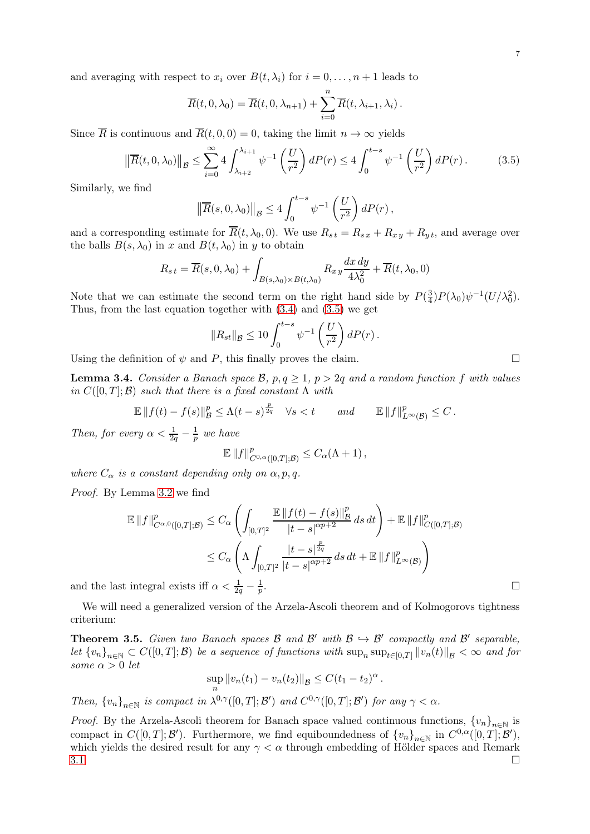and averaging with respect to  $x_i$  over  $B(t, \lambda_i)$  for  $i = 0, \ldots, n + 1$  leads to

$$
\overline{R}(t,0,\lambda_0)=\overline{R}(t,0,\lambda_{n+1})+\sum_{i=0}^n\overline{R}(t,\lambda_{i+1},\lambda_i).
$$

Since  $\overline{R}$  is continuous and  $\overline{R}(t, 0, 0) = 0$ , taking the limit  $n \to \infty$  yields

<span id="page-7-0"></span>
$$
\left\| \overline{R}(t,0,\lambda_0) \right\|_{\mathcal{B}} \le \sum_{i=0}^{\infty} 4 \int_{\lambda_{i+2}}^{\lambda_{i+1}} \psi^{-1} \left( \frac{U}{r^2} \right) dP(r) \le 4 \int_0^{t-s} \psi^{-1} \left( \frac{U}{r^2} \right) dP(r).
$$
 (3.5)

Similarly, we find

$$
\left\| \overline{R}(s,0,\lambda_0) \right\|_{\mathcal{B}} \le 4 \int_0^{t-s} \psi^{-1} \left( \frac{U}{r^2} \right) dP(r) ,
$$

and a corresponding estimate for  $R(t, \lambda_0, 0)$ . We use  $R_{st} = R_{sx} + R_{xy} + R_{yt}$ , and average over the balls  $B(s, \lambda_0)$  in x and  $B(t, \lambda_0)$  in y to obtain

$$
R_{s\,t} = \overline{R}(s,0,\lambda_0) + \int_{B(s,\lambda_0)\times B(t,\lambda_0)} R_{x\,y} \frac{dx\,dy}{4\lambda_0^2} + \overline{R}(t,\lambda_0,0)
$$

Note that we can estimate the second term on the right hand side by  $P(\frac{3}{4})$  $\frac{3}{4}$ ) $P(\lambda_0)\psi^{-1}(U/\lambda_0^2)$ . Thus, from the last equation together with [\(3.4\)](#page-6-1) and [\(3.5\)](#page-7-0) we get

$$
||R_{st}||_{\mathcal{B}} \le 10 \int_0^{t-s} \psi^{-1} \left(\frac{U}{r^2}\right) dP(r).
$$

Using the definition of  $\psi$  and P, this finally proves the claim.

<span id="page-7-2"></span>**Lemma 3.4.** Consider a Banach space  $\mathcal{B}$ ,  $p, q \geq 1$ ,  $p > 2q$  and a random function f with values in  $C([0,T];\mathcal{B})$  such that there is a fixed constant  $\Lambda$  with

$$
\mathbb{E} \|f(t)-f(s)\|_{\mathcal{B}}^p \leq \Lambda (t-s)^{\frac{p}{2q}} \quad \forall s
$$

Then, for every  $\alpha < \frac{1}{2q} - \frac{1}{p}$  $\frac{1}{p}$  we have

$$
\mathbb{E} \left\|f\right\|_{C^{0,\alpha}([0,T];\mathcal{B})}^p \leq C_{\alpha}(\Lambda+1),
$$

where  $C_{\alpha}$  is a constant depending only on  $\alpha, p, q$ .

Proof. By Lemma [3.2](#page-6-2) we find

$$
\mathbb{E} \|f\|_{C^{\alpha,0}([0,T];\mathcal{B})}^p \leq C_{\alpha} \left( \int_{[0,T]^2} \frac{\mathbb{E} \|f(t) - f(s)\|_{\mathcal{B}}^p}{|t - s|^{\alpha p + 2}} ds dt \right) + \mathbb{E} \|f\|_{C([0,T];\mathcal{B})}^p
$$
\n
$$
\leq C_{\alpha} \left( \Lambda \int_{[0,T]^2} \frac{|t - s|^{\frac{p}{2q}}}{|t - s|^{\alpha p + 2}} ds dt + \mathbb{E} \|f\|_{L^{\infty}(\mathcal{B})}^p \right)
$$
\nintegral exists iff  $\alpha < \frac{1}{2q} - \frac{1}{p}$ .

and the last integral exists iff  $\alpha < \frac{1}{2q} - \frac{1}{p}$ p

We will need a generalized version of the Arzela-Ascoli theorem and of Kolmogorovs tightness criterium:

<span id="page-7-1"></span>**Theorem 3.5.** Given two Banach spaces  $\beta$  and  $\beta'$  with  $\beta \rightarrow \beta'$  compactly and  $\beta'$  separable, let  ${v_n}_{n\in\mathbb{N}} \subset C([0,T];\mathcal{B})$  be a sequence of functions with  $\sup_n \sup_{t\in[0,T]} ||v_n(t)||_{\mathcal{B}} < \infty$  and for some  $\alpha > 0$  let

$$
\sup_{n} ||v_n(t_1) - v_n(t_2)||_{\mathcal{B}} \leq C(t_1 - t_2)^{\alpha}.
$$

Then,  $\{v_n\}_{n\in\mathbb{N}}$  is compact in  $\lambda^{0,\gamma}([0,T];\mathcal{B}')$  and  $C^{0,\gamma}([0,T];\mathcal{B}')$  for any  $\gamma < \alpha$ .

*Proof.* By the Arzela-Ascoli theorem for Banach space valued continuous functions,  ${v_n}_{n\in\mathbb{N}}$  is compact in  $C([0,T];\mathcal{B}')$ . Furthermore, we find equiboundedness of  $\{v_n\}_{n\in\mathbb{N}}$  in  $C^{0,\alpha}([0,T];\mathcal{B}')$ , which yields the desired result for any  $\gamma < \alpha$  through embedding of Hölder spaces and Remark  $3.1.$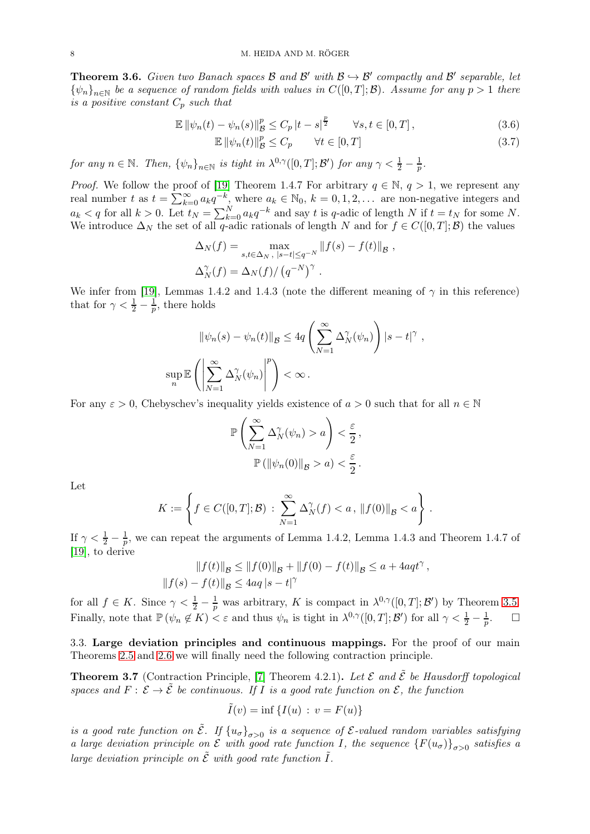<span id="page-8-1"></span>**Theorem 3.6.** Given two Banach spaces  $\mathcal{B}$  and  $\mathcal{B}'$  with  $\mathcal{B} \hookrightarrow \mathcal{B}'$  compactly and  $\mathcal{B}'$  separable, let  ${\psi_n}_{n\in\mathbb{N}}$  be a sequence of random fields with values in  $C([0,T];\mathcal{B})$ . Assume for any  $p>1$  there is a positive constant  $C_p$  such that

$$
\mathbb{E} \left\| \psi_n(t) - \psi_n(s) \right\|_{\mathcal{B}}^p \le C_p \left| t - s \right|^{\frac{p}{2}} \qquad \forall s, t \in [0, T], \tag{3.6}
$$
\n
$$
\mathbb{E} \left\| \psi_n(t) \right\|_{\mathcal{B}}^p \le C \qquad \forall t \in [0, T] \tag{3.7}
$$

$$
\mathbb{E} \left[ \left| \psi_n(t) \right|_{\mathcal{B}}^p \le C_p \qquad \forall t \in [0, T] \right] \tag{3.7}
$$

for any  $n \in \mathbb{N}$ . Then,  $\{\psi_n\}_{n \in \mathbb{N}}$  is tight in  $\lambda^{0,\gamma}([0,T];\mathcal{B}')$  for any  $\gamma < \frac{1}{2} - \frac{1}{p}$  $\frac{1}{p}$  .

*Proof.* We follow the proof of [\[19\]](#page-17-15) Theorem 1.4.7 For arbitrary  $q \in \mathbb{N}$ ,  $q > 1$ , we represent any real number t as  $t = \sum_{k=0}^{\infty} a_k q^{-k}$ , where  $a_k \in \mathbb{N}_0$ ,  $k = 0, 1, 2, \ldots$  are non-negative integers and  $a_k < q$  for all  $k > 0$ . Let  $t_N = \sum_{k=0}^N a_k q^{-k}$  and say t is q-adic of length N if  $t = t_N$  for some N. We introduce  $\Delta_N$  the set of all q-adic rationals of length N and for  $f \in C([0,T];\mathcal{B})$  the values

$$
\Delta_N(f) = \max_{s,t \in \Delta_N, |s-t| \le q^{-N}} ||f(s) - f(t)||_{\mathcal{B}},
$$
  

$$
\Delta_N^{\gamma}(f) = \Delta_N(f) / (q^{-N})^{\gamma}.
$$

We infer from [\[19\]](#page-17-15), Lemmas 1.4.2 and 1.4.3 (note the different meaning of  $\gamma$  in this reference) that for  $\gamma < \frac{1}{2} - \frac{1}{p}$ , there holds

$$
\|\psi_n(s) - \psi_n(t)\|_{\mathcal{B}} \le 4q \left(\sum_{N=1}^{\infty} \Delta_N^{\gamma}(\psi_n)\right) |s - t|^{\gamma},
$$
  

$$
\sup_n \mathbb{E}\left(\left|\sum_{N=1}^{\infty} \Delta_N^{\gamma}(\psi_n)\right|^p\right) < \infty.
$$

For any  $\varepsilon > 0$ , Chebyschev's inequality yields existence of  $a > 0$  such that for all  $n \in \mathbb{N}$ 

$$
\mathbb{P}\left(\sum_{N=1}^{\infty} \Delta_N^{\gamma}(\psi_n) > a\right) < \frac{\varepsilon}{2},
$$

$$
\mathbb{P}\left(\|\psi_n(0)\|_{\mathcal{B}} > a\right) < \frac{\varepsilon}{2}.
$$

Let

$$
K := \left\{ f \in C([0,T];\mathcal{B}) \, : \, \sum_{N=1}^{\infty} \Delta_N^{\gamma}(f) < a \, , \, \|f(0)\|_{\mathcal{B}} < a \right\} \, .
$$

If  $\gamma < \frac{1}{2} - \frac{1}{p}$  $\frac{1}{p}$ , we can repeat the arguments of Lemma 1.4.2, Lemma 1.4.3 and Theorem 1.4.7 of [\[19\]](#page-17-15), to derive

$$
||f(t)||_{\mathcal{B}} \le ||f(0)||_{\mathcal{B}} + ||f(0) - f(t)||_{\mathcal{B}} \le a + 4aqt^{\gamma},
$$
  

$$
||f(s) - f(t)||_{\mathcal{B}} \le 4aq |s - t|^{\gamma}
$$

for all  $f \in K$ . Since  $\gamma < \frac{1}{2} - \frac{1}{p}$  was arbitrary, K is compact in  $\lambda^{0,\gamma}([0,T];\mathcal{B}')$  by Theorem [3.5.](#page-7-1) Finally, note that  $\mathbb{P}(\psi_n \notin K) < \varepsilon$  and thus  $\psi_n$  is tight in  $\lambda^{0,\gamma}([0,T];\mathcal{B}')$  for all  $\gamma < \frac{1}{2} - \frac{1}{p}$  $\Box$ 

3.3. Large deviation principles and continuous mappings. For the proof of our main Theorems [2.5](#page-4-0) and [2.6](#page-5-0) we will finally need the following contraction principle.

<span id="page-8-0"></span>**Theorem 3.7** (Contraction Principle, [\[7\]](#page-17-20) Theorem 4.2.1). Let  $\mathcal{E}$  and  $\tilde{\mathcal{E}}$  be Hausdorff topological spaces and  $F: \mathcal{E} \to \tilde{\mathcal{E}}$  be continuous. If I is a good rate function on  $\mathcal{E}$ , the function

$$
\tilde{I}(v) = \inf \{ I(u) : v = F(u) \}
$$

is a good rate function on  $\tilde{\mathcal{E}}$ . If  $\{u_{\sigma}\}_{\sigma>0}$  is a sequence of  $\mathcal{E}$ -valued random variables satisfying a large deviation principle on  $\mathcal E$  with good rate function I, the sequence  $\{F(u_{\sigma})\}_{\sigma>0}$  satisfies a large deviation principle on  $\tilde{\mathcal{E}}$  with good rate function  $\tilde{I}$ .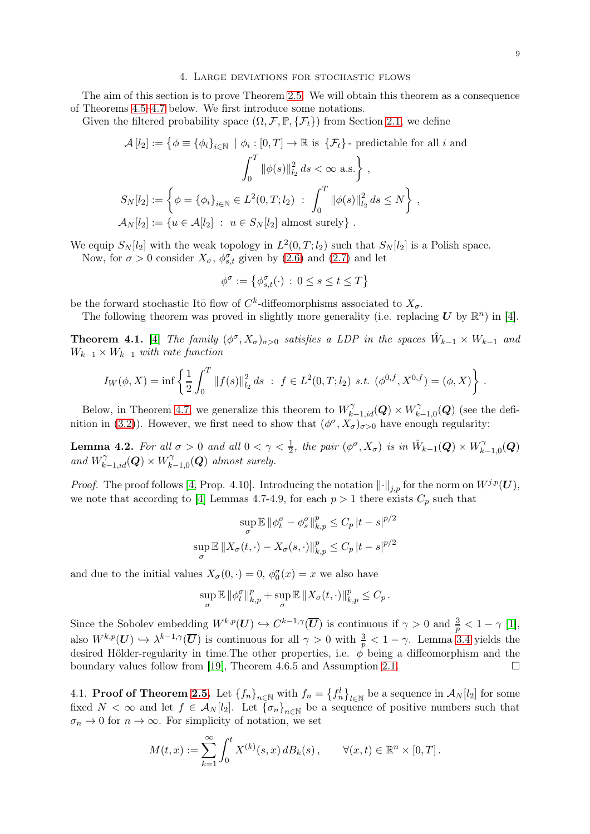### 4. Large deviations for stochastic flows

<span id="page-9-0"></span>The aim of this section is to prove Theorem [2.5.](#page-4-0) We will obtain this theorem as a consequence of Theorems [4.5–](#page-10-0)[4.7](#page-11-0) below. We first introduce some notations.

Given the filtered probability space  $(\Omega, \mathcal{F}, \mathbb{P}, \{\mathcal{F}_t\})$  from Section [2.1,](#page-3-2) we define

$$
\mathcal{A}[l_2] := \left\{ \phi \equiv \{\phi_i\}_{i \in \mathbb{N}} \mid \phi_i : [0, T] \to \mathbb{R} \text{ is } \left\{ \mathcal{F}_t \right\} \text{- predictable for all } i \text{ and}
$$

$$
\int_0^T \|\phi(s)\|_{l_2}^2 ds < \infty \text{ a.s.} \right\},
$$

$$
S_N[l_2] := \left\{ \phi = \{\phi_i\}_{i \in \mathbb{N}} \in L^2(0, T; l_2) \; : \; \int_0^T \|\phi(s)\|_{l_2}^2 ds \le N \right\},
$$

$$
\mathcal{A}_N[l_2] := \left\{ u \in \mathcal{A}[l_2] \; : \; u \in S_N[l_2] \text{ almost surely} \right\}.
$$

We equip  $S_N[l_2]$  with the weak topology in  $L^2(0,T;l_2)$  such that  $S_N[l_2]$  is a Polish space.

Now, for  $\sigma > 0$  consider  $X_{\sigma}$ ,  $\phi_{s,t}^{\sigma}$  given by [\(2.6\)](#page-4-1) and [\(2.7\)](#page-4-2) and let

$$
\phi^{\sigma} := \left\{ \phi_{s,t}^{\sigma}(\cdot) \, : \, 0 \le s \le t \le T \right\}
$$

be the forward stochastic Ito flow of  $C<sup>k</sup>$ -diffeomorphisms associated to  $X_{\sigma}$ .

The following theorem was proved in slightly more generality (i.e. replacing  $\boldsymbol{U}$  by  $\mathbb{R}^n$ ) in [\[4\]](#page-17-21).

<span id="page-9-2"></span>**Theorem 4.1.** [\[4\]](#page-17-21) The family  $(\phi^{\sigma}, X_{\sigma})_{\sigma > 0}$  satisfies a LDP in the spaces  $\hat{W}_{k-1} \times W_{k-1}$  and  $W_{k-1} \times W_{k-1}$  with rate function

$$
I_W(\phi, X) = \inf \left\{ \frac{1}{2} \int_0^T \|f(s)\|_{l_2}^2 ds \; : \; f \in L^2(0, T; l_2) \text{ s.t. } (\phi^{0, f}, X^{0, f}) = (\phi, X) \right\} \, .
$$

Below, in Theorem [4.7,](#page-11-0) we generalize this theorem to  $W^{\gamma}_{k-1, id}(\mathbf{Q}) \times W^{\gamma}_{k}$  $\hat{C}_{k-1,0}(\boldsymbol{Q})$  (see the defi-nition in [\(3.2\)](#page-5-5)). However, we first need to show that  $(\phi^{\sigma}, X_{\sigma})_{\sigma>0}$  have enough regularity:

<span id="page-9-1"></span>**Lemma 4.2.** For all  $\sigma > 0$  and all  $0 < \gamma < \frac{1}{2}$ , the pair  $(\phi^{\sigma}, X_{\sigma})$  is in  $\hat{W}_{k-1}(\mathbf{Q}) \times W_k^{\gamma}$  $\gamma^{\gamma}_{k-1,0}(\bm{Q})$ and  $W_{k-1,id}^{\gamma}(\boldsymbol{Q})\times W_{k}^{\gamma}$  $\hat{h}_{k-1,0}^{\gamma}(\boldsymbol{Q})$  almost surely.

*Proof.* The proof follows [\[4,](#page-17-21) Prop. 4.10]. Introducing the notation  $\lVert \cdot \rVert_{i,p}$  for the norm on  $W^{j,p}(U)$ , we note that according to [\[4\]](#page-17-21) Lemmas 4.7-4.9, for each  $p > 1$  there exists  $C_p$  such that

$$
\sup_{\sigma} \mathbb{E} \| \phi_t^{\sigma} - \phi_s^{\sigma} \|_{k,p}^p \le C_p |t - s|^{p/2}
$$

$$
\sup_{\sigma} \mathbb{E} \| X_{\sigma}(t, \cdot) - X_{\sigma}(s, \cdot) \|_{k,p}^p \le C_p |t - s|^{p/2}
$$

and due to the initial values  $X_{\sigma}(0, \cdot) = 0$ ,  $\phi_0^{\sigma}(x) = x$  we also have

$$
\sup_{\sigma} \mathbb{E} \left\| \phi_t^{\sigma} \right\|_{k,p}^p + \sup_{\sigma} \mathbb{E} \left\| X_{\sigma}(t,\cdot) \right\|_{k,p}^p \leq C_p.
$$

Since the Sobolev embedding  $W^{k,p}(U) \hookrightarrow C^{k-1,\gamma}(\overline{U})$  is continuous if  $\gamma > 0$  and  $\frac{3}{p} < 1 - \gamma$  [\[1\]](#page-17-22), also  $W^{k,p}(U) \hookrightarrow \lambda^{k-1,\gamma}(\overline{U})$  is continuous for all  $\gamma > 0$  with  $\frac{3}{p} < 1 - \gamma$ . Lemma [3.4](#page-7-2) yields the desired Hölder-regularity in time. The other properties, i.e.  $\phi$  being a diffeomorphism and the boundary values follow from [\[19\]](#page-17-15), Theorem 4.6.5 and Assumption [2.1.](#page-3-0)  $\Box$ 

4.1. **Proof of Theorem [2.5.](#page-4-0)** Let  $\{f_n\}_{n\in\mathbb{N}}$  with  $f_n = \{f_n^l\}_{l\in\mathbb{N}}$  be a sequence in  $\mathcal{A}_N[l_2]$  for some fixed  $N < \infty$  and let  $f \in A_N[l_2]$ . Let  ${\lbrace \sigma_n \rbrace}_{n \in \mathbb{N}}$  be a sequence of positive numbers such that  $\sigma_n \to 0$  for  $n \to \infty$ . For simplicity of notation, we set

$$
M(t,x) := \sum_{k=1}^{\infty} \int_0^t X^{(k)}(s,x) \, dB_k(s) \, , \qquad \forall (x,t) \in \mathbb{R}^n \times [0,T] \, .
$$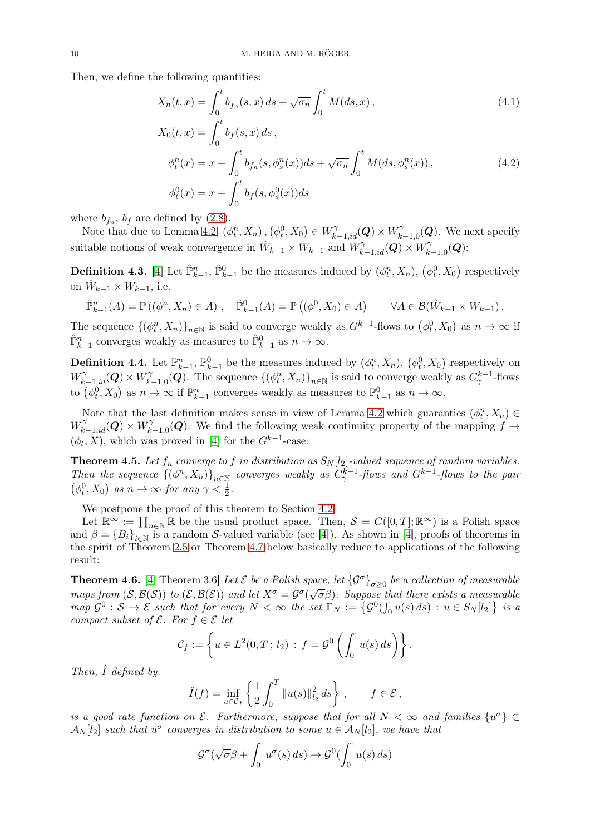Then, we define the following quantities:

<span id="page-10-2"></span>
$$
X_n(t,x) = \int_0^t b_{f_n}(s,x) \, ds + \sqrt{\sigma_n} \int_0^t M(ds,x) \,, \tag{4.1}
$$

<span id="page-10-3"></span>
$$
X_0(t, x) = \int_0^t b_f(s, x) ds,
$$
  
\n
$$
\phi_t^n(x) = x + \int_0^t b_{f_n}(s, \phi_s^n(x)) ds + \sqrt{\sigma_n} \int_0^t M(ds, \phi_s^n(x)),
$$
  
\n
$$
\phi_t^0(x) = x + \int_0^t b_f(s, \phi_s^0(x)) ds
$$
\n(4.2)

where  $b_{f_n}$ ,  $b_f$  are defined by [\(2.8\)](#page-4-3).

Note that due to Lemma [4.2,](#page-9-1)  $(\phi_t^n, X_n), (\phi_t^0, X_0) \in W_{k-1, id}^{\gamma}(\mathbf{Q}) \times W_k^{\gamma}$  $\chi^{\gamma}_{k-1,0}(\boldsymbol{Q})$ . We next specify suitable notions of weak convergence in  $\hat{W}_{k-1} \times W_{k-1}$  and  $W^{\gamma}_{k-1,id}(\mathbf{Q}) \times W^{\gamma}_k$  $\gamma^{\gamma}_{k-1,0}(\bm{Q})$ :

**Definition 4.3.** [\[4\]](#page-17-21) Let  $\hat{\mathbb{P}}_{k-1}^n$ ,  $\hat{\mathbb{P}}_{k-1}^0$  be the measures induced by  $(\phi_t^n, X_n)$ ,  $(\phi_t^0, X_0)$  respectively on  $\hat{W}_{k-1} \times W_{k-1}$ , i.e.

$$
\hat{\mathbb{P}}_{k-1}^n(A) = \mathbb{P}\left((\phi^n, X_n) \in A\right), \quad \hat{\mathbb{P}}_{k-1}^0(A) = \mathbb{P}\left((\phi^0, X_0) \in A\right) \qquad \forall A \in \mathcal{B}(\hat{W}_{k-1} \times W_{k-1}).
$$

The sequence  $\{(\phi_t^n, X_n)\}_{n\in\mathbb{N}}$  is said to converge weakly as  $G^{k-1}$ -flows to  $(\phi_t^0, X_0)$  as  $n \to \infty$  if  $\hat{\mathbb{P}}_{k-1}^n$  converges weakly as measures to  $\hat{\mathbb{P}}_{k-1}^0$  as  $n \to \infty$ .

**Definition 4.4.** Let  $\mathbb{P}_{k-1}^n$ ,  $\mathbb{P}_{k-1}^0$  be the measures induced by  $(\phi_t^n, X_n)$ ,  $(\phi_t^0, X_0)$  respectively on  $W_{k-1,id}^{\gamma}(\boldsymbol{Q})\times W_{k}^{\gamma}$  $\{(\phi_t^n, X_n)\}_{n\in\mathbb{N}}$  is said to converge weakly as  $C^{k-1}_{\gamma}$ -flows to  $(\phi_t^0, X_0)$  as  $n \to \infty$  if  $\mathbb{P}_{k-1}^n$  converges weakly as measures to  $\mathbb{P}_{k-1}^0$  as  $n \to \infty$ .

Note that the last definition makes sense in view of Lemma [4.2](#page-9-1) which guaranties  $(\phi_t^n, X_n) \in$  $W_{k-1,id}^{\gamma}(\boldsymbol{Q})\times W_{k}^{\gamma}$  $\hat{R}_{k-1,0}(\mathbf{Q})$ . We find the following weak continuity property of the mapping  $f \mapsto$  $(\phi_t, X)$ , which was proved in [\[4\]](#page-17-21) for the  $G^{k-1}$ -case:

<span id="page-10-0"></span>**Theorem 4.5.** Let  $f_n$  converge to  $f$  in distribution as  $S_N[l_2]$ -valued sequence of random variables. Then the sequence  $\{(\phi^n, X_n)\}_{n\in\mathbb{N}}$  converges weakly as  $C^{k-1}_{\gamma}$ -flows and  $G^{k-1}$ -flows to the pair  $(\phi_t^0, X_0)$  as  $n \to \infty$  for any  $\gamma < \frac{1}{2}$ .

We postpone the proof of this theorem to Section [4.2.](#page-12-0)

Let  $\mathbb{R}^{\infty} := \prod_{n \in \mathbb{N}} \mathbb{R}$  be the usual product space. Then,  $\mathcal{S} = C([0, T]; \mathbb{R}^{\infty})$  is a Polish space and  $\beta = \{B_i\}_{i \in \mathbb{N}}$  is a random *S*-valued variable (see [\[4\]](#page-17-21)). As shown in [4], proofs of theorems in the spirit of Theorem [2.5](#page-4-0) or Theorem [4.7](#page-11-0) below basically reduce to applications of the following result:

<span id="page-10-1"></span>**Theorem 4.6.** [\[4,](#page-17-21) Theorem 3.6] Let  $\mathcal{E}$  be a Polish space, let  $\{\mathcal{G}^{\sigma}\}_{\sigma \geq 0}$  be a collection of measurable maps from  $(S, B(S))$  to  $(\mathcal{E}, B(\mathcal{E}))$  and let  $X^{\sigma} = \mathcal{G}^{\sigma}(\sqrt{\sigma \beta})$ . Suppose that there exists a measurable  $map \ G^0 : S \to \mathcal{E}$  such that for every  $N < \infty$  the set  $\Gamma_N := \{ \mathcal{G}^0(\int_0^{\cdot} u(s) ds) : u \in S_N[l_2] \}$  is a compact subset of  $\mathcal{E}$ . For  $f \in \mathcal{E}$  let

$$
\mathcal{C}_f := \left\{ u \in L^2(0,T\,;\,l_2) \,:\, f = \mathcal{G}^0\left(\int_0^\cdot u(s)\,ds\right) \right\}.
$$

Then,  $\hat{I}$  defined by

$$
\hat{I}(f) = \inf_{u \in C_f} \left\{ \frac{1}{2} \int_0^T ||u(s)||_{l_2}^2 ds \right\}, \quad f \in \mathcal{E},
$$

is a good rate function on  $\mathcal{E}$ . Furthermore, suppose that for all  $N < \infty$  and families  $\{u^{\sigma}\} \subset$  $\mathcal{A}_N[l_2]$  such that  $u^{\sigma}$  converges in distribution to some  $u \in \mathcal{A}_N[l_2]$ , we have that

$$
\mathcal{G}^{\sigma}(\sqrt{\sigma}\beta + \int_0^{\cdot} u^{\sigma}(s) ds) \to \mathcal{G}^0(\int_0^{\cdot} u(s) ds)
$$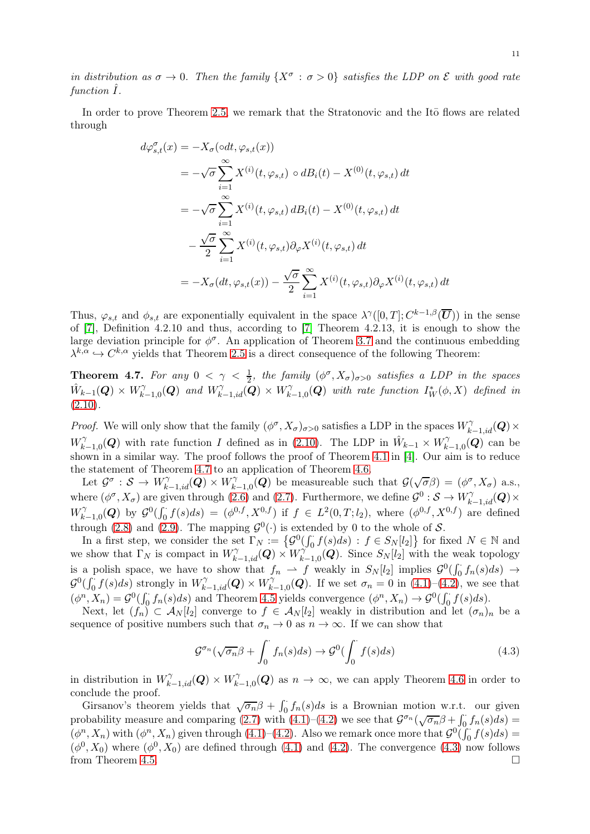in distribution as  $\sigma \to 0$ . Then the family  $\{X^{\sigma} : \sigma > 0\}$  satisfies the LDP on  $\mathcal E$  with good rate  $function I.$ 

In order to prove Theorem [2.5,](#page-4-0) we remark that the Stratonovic and the Ito flows are related through

$$
d\varphi_{s,t}^{\sigma}(x) = -X_{\sigma}(\circ dt, \varphi_{s,t}(x))
$$
  
\n
$$
= -\sqrt{\sigma} \sum_{i=1}^{\infty} X^{(i)}(t, \varphi_{s,t}) \circ dB_i(t) - X^{(0)}(t, \varphi_{s,t}) dt
$$
  
\n
$$
= -\sqrt{\sigma} \sum_{i=1}^{\infty} X^{(i)}(t, \varphi_{s,t}) dB_i(t) - X^{(0)}(t, \varphi_{s,t}) dt
$$
  
\n
$$
- \frac{\sqrt{\sigma}}{2} \sum_{i=1}^{\infty} X^{(i)}(t, \varphi_{s,t}) \partial_{\varphi} X^{(i)}(t, \varphi_{s,t}) dt
$$
  
\n
$$
= -X_{\sigma}(dt, \varphi_{s,t}(x)) - \frac{\sqrt{\sigma}}{2} \sum_{i=1}^{\infty} X^{(i)}(t, \varphi_{s,t}) \partial_{\varphi} X^{(i)}(t, \varphi_{s,t}) dt
$$

Thus,  $\varphi_{s,t}$  and  $\phi_{s,t}$  are exponentially equivalent in the space  $\lambda^{\gamma}([0,T];C^{k-1,\beta}(\overline{\bm{U}}))$  in the sense of [\[7\]](#page-17-20), Definition 4.2.10 and thus, according to [\[7\]](#page-17-20) Theorem 4.2.13, it is enough to show the large deviation principle for  $\phi^{\sigma}$ . An application of Theorem [3.7](#page-8-0) and the continuous embedding  $\lambda^{k,\alpha} \hookrightarrow C^{k,\alpha}$  yields that Theorem [2.5](#page-4-0) is a direct consequence of the following Theorem:

<span id="page-11-0"></span>**Theorem 4.7.** For any  $0 < \gamma < \frac{1}{2}$ , the family  $(\phi^{\sigma}, X_{\sigma})_{\sigma>0}$  satisfies a LDP in the spaces  $\hat{W}_{k-1}(\boldsymbol{Q})\times W^{\gamma}_k$  $\bigcap_{k=1,0}^{\gamma}(\mathbf{Q})$  and  $W_{k-1,id}^{\gamma}(\mathbf{Q}) \times W_{k,i}^{\gamma}$  $\hat{V}_{k-1,0}^{\gamma}(\boldsymbol{Q})$  with rate function  $I^*_W(\phi,X)$  defined in  $(2.10).$  $(2.10).$ 

*Proof.* We will only show that the family  $(\phi^{\sigma}, X_{\sigma})_{\sigma>0}$  satisfies a LDP in the spaces  $W_{k-1, id}^{\gamma}(\mathbf{Q}) \times$  $W_k^{\gamma}$  $\hat{W}_{k-1,0}(\mathbf{Q})$  with rate function I defined as in [\(2.10\)](#page-4-4). The LDP in  $\hat{W}_{k-1} \times W_k^{\gamma}$  $\hat{h}_{k-1,0}(\boldsymbol{Q})$  can be shown in a similar way. The proof follows the proof of Theorem [4.1](#page-9-2) in [\[4\]](#page-17-21). Our aim is to reduce the statement of Theorem [4.7](#page-11-0) to an application of Theorem [4.6.](#page-10-1)

Let  $\mathcal{G}^{\sigma} : \mathcal{S} \to W^{\gamma}_{k-1, id}(\mathbf{Q}) \times W^{\gamma}_{k}$  $\widehat{G}_{k-1,0}(\mathbf{Q})$  be measureable such that  $\mathcal{G}(\sqrt{\sigma}\beta) = (\phi^{\sigma}, X_{\sigma})$  a.s., where  $(\phi^{\sigma}, X_{\sigma})$  are given through [\(2.6\)](#page-4-1) and [\(2.7\)](#page-4-2). Furthermore, we define  $\mathcal{G}^0: \mathcal{S} \to W_{k-1,id}^{\gamma}(\mathbf{Q}) \times$  $W_k^{\gamma}$  $\mathcal{L}_{k-1,0}^{\gamma}(\mathbf{Q})$  by  $\mathcal{G}^{0}(\int_{0}^{1}f(s)ds) = (\phi^{0,f}, X^{0,f})$  if  $f \in L^{2}(0,T;l_2)$ , where  $(\phi^{0,f}, X^{0,f})$  are defined through [\(2.8\)](#page-4-3) and [\(2.9\)](#page-4-5). The mapping  $\mathcal{G}^0(\cdot)$  is extended by 0 to the whole of  $\mathcal{S}$ .

In a first step, we consider the set  $\Gamma_N := \{ \mathcal{G}^0(\int_0^{\cdot} f(s) ds) : f \in S_N[l_2] \}$  for fixed  $N \in \mathbb{N}$  and we show that  $\Gamma_N$  is compact in  $W_{k-1,id}^{\gamma}(\mathbf{Q}) \times W_k^{\gamma}$  $\hat{K}_{k-1,0}(\mathbf{Q})$ . Since  $S_N[l_2]$  with the weak topology is a polish space, we have to show that  $f_n \rightharpoonup f$  weakly in  $S_N[l_2]$  implies  $\mathcal{G}^0(\int_0^{\cdot} f_n(s)ds) \rightharpoonup f_n(s)ds$  $\mathcal{G}^0(\int_0^{\cdot} f(s)ds)$  strongly in  $W^{\gamma}_{k-1,id}(\boldsymbol{Q}) \times W^{\gamma}_k$  $\mathcal{L}_{k-1,0}^{\gamma}(\mathbf{Q})$ . If we set  $\sigma_n = 0$  in  $(4.1)$ – $(4.2)$ , we see that  $(\phi^n, X_n) = \mathcal{G}^0(\int_0^{\infty} f_n(s)ds)$  and Theorem [4.5](#page-10-0) yields convergence  $(\phi^n, X_n) \to \mathcal{G}^0(\int_0^{\infty} f(s)ds)$ .

Next, let  $(f_n) \subset A_N[l_2]$  converge to  $f \in A_N[l_2]$  weakly in distribution and let  $(\sigma_n)_n$  be a sequence of positive numbers such that  $\sigma_n \to 0$  as  $n \to \infty$ . If we can show that

<span id="page-11-1"></span>
$$
\mathcal{G}^{\sigma_n}(\sqrt{\sigma_n}\beta + \int_0^{\cdot} f_n(s)ds) \to \mathcal{G}^0(\int_0^{\cdot} f(s)ds)
$$
\n(4.3)

in distribution in  $W^{\gamma}_{k-1,id}(\mathbf{Q}) \times W^{\gamma}_k$  $\gamma^{\gamma}_{k-1,0}(Q)$  as  $n \to \infty$ , we can apply Theorem [4.6](#page-10-1) in order to conclude the proof.

Girsanov's theorem yields that  $\sqrt{\sigma_n}\beta + \int_0^{\cdot} f_n(s)ds$  is a Brownian motion w.r.t. our given probability measure and comparing [\(2.7\)](#page-4-2) with [\(4.1\)](#page-10-2)–[\(4.2\)](#page-10-3) we see that  $\mathcal{G}^{\sigma_n}(\sqrt{\sigma_n}\beta+\int_0^{\cdot}f_n(s)ds)$  $(\phi^n, X_n)$  with  $(\phi^n, X_n)$  given through  $(4.1)$ – $(4.2)$ . Also we remark once more that  $\mathcal{G}^0(\iint_0^{\cdot} f(s)ds)$  =  $(\phi^0, X_0)$  where  $(\phi^0, X_0)$  are defined through [\(4.1\)](#page-10-2) and [\(4.2\)](#page-10-3). The convergence [\(4.3\)](#page-11-1) now follows from Theorem [4.5.](#page-10-0)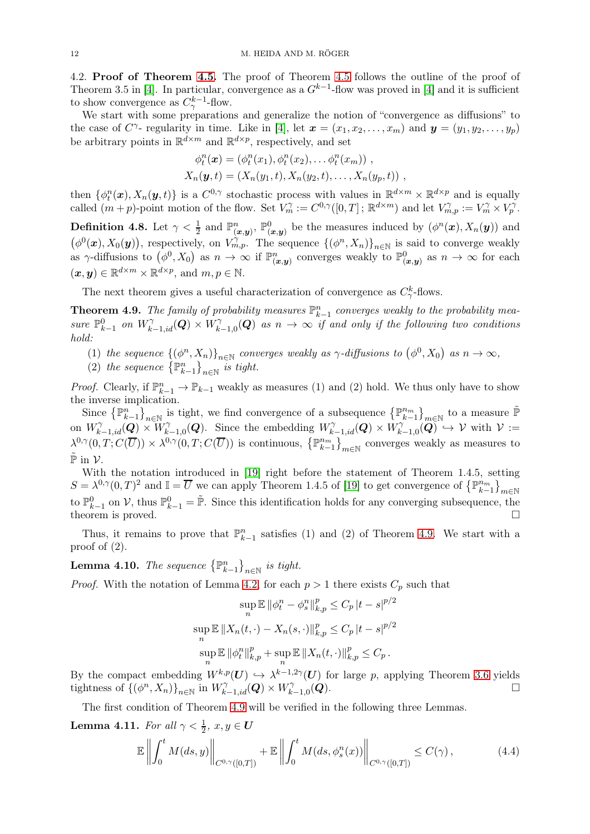<span id="page-12-0"></span>4.2. Proof of Theorem [4.5.](#page-10-0) The proof of Theorem [4.5](#page-10-0) follows the outline of the proof of Theorem 3.5 in [\[4\]](#page-17-21). In particular, convergence as a  $G^{k-1}$ -flow was proved in [4] and it is sufficient to show convergence as  $C^{k-1}_{\gamma}$ -flow.

We start with some preparations and generalize the notion of "convergence as diffusions" to the case of  $C^{\gamma}$ - regularity in time. Like in [\[4\]](#page-17-21), let  $\mathbf{x} = (x_1, x_2, \ldots, x_m)$  and  $\mathbf{y} = (y_1, y_2, \ldots, y_p)$ be arbitrary points in  $\mathbb{R}^{d \times m}$  and  $\mathbb{R}^{d \times p}$ , respectively, and set

$$
\phi_t^n(\mathbf{x}) = (\phi_t^n(x_1), \phi_t^n(x_2), \dots, \phi_t^n(x_m)),
$$
  

$$
X_n(\mathbf{y}, t) = (X_n(y_1, t), X_n(y_2, t), \dots, X_n(y_p, t)),
$$

then  $\{\phi_t^n(\bm{x}), X_n(\bm{y}, t)\}\$ is a  $C^{0,\gamma}$  stochastic process with values in  $\mathbb{R}^{d \times m} \times \mathbb{R}^{d \times p}$  and is equally called  $(m+p)$ -point motion of the flow. Set  $V_m^{\gamma} := C^{0,\gamma}([0,T]; \mathbb{R}^{d \times m})$  and let  $V_{m,p}^{\gamma} := V_m^{\gamma} \times V_p^{\gamma}$ .

**Definition 4.8.** Let  $\gamma < \frac{1}{2}$  and  $\mathbb{P}^n_{(\bm{x},\bm{y})}$ ,  $\mathbb{P}^0_{(\bm{x},\bm{y})}$  be the measures induced by  $(\phi^n(\bm{x}), X_n(\bm{y}))$  and  $(\phi^0(\boldsymbol{x}), X_0(\boldsymbol{y})),$  respectively, on  $V_{m,p}^{\gamma}$ . The sequence  $\{(\phi^n, X_n)\}_{n\in\mathbb{N}}$  is said to converge weakly as  $\gamma$ -diffusions to  $(\phi^0, X_0)$  as  $n \to \infty$  if  $\mathbb{P}^n_{(\bm{x}, \bm{y})}$  converges weakly to  $\mathbb{P}^0_{(\bm{x}, \bm{y})}$  as  $n \to \infty$  for each  $(\boldsymbol{x}, \boldsymbol{y}) \in \mathbb{R}^{d \times m} \times \mathbb{R}^{d \times p}$ , and  $m, p \in \mathbb{N}$ .

The next theorem gives a useful characterization of convergence as  $C_{\gamma}^k$ -flows.

<span id="page-12-1"></span>**Theorem 4.9.** The family of probability measures  $\mathbb{P}_{k-1}^n$  converges weakly to the probability measure  $\mathbb{P}^0_{k-1}$  on  $W^{\gamma}_{k-1,id}(\mathbf{Q}) \times W^{\gamma}_{k}$  $\hat{N}_{k-1,0}(\boldsymbol{Q})$  as  $n \to \infty$  if and only if the following two conditions hold:

- (1) the sequence  $\{(\phi^n, X_n)\}_{n\in\mathbb{N}}$  converges weakly as  $\gamma$ -diffusions to  $(\phi^0, X_0)$  as  $n \to \infty$ ,
- (2) the sequence  $\left\{\mathbb{P}_{k-1}^n\right\}_{n\in\mathbb{N}}$  is tight.

*Proof.* Clearly, if  $\mathbb{P}_{k-1}^n \to \mathbb{P}_{k-1}$  weakly as measures (1) and (2) hold. We thus only have to show the inverse implication.

Since  $\{\mathbb{P}_{k-1}^n\}_{n\in\mathbb{N}}$  is tight, we find convergence of a subsequence  $\{\mathbb{P}_{k-1}^{n_m}\}_{m\in\mathbb{N}}$  to a measure  $\tilde{\mathbb{P}}$ on  $W^{\gamma}_{k-1,id}(\mathbf{Q})\times W^{\gamma}_{k}$  $\bigcap_{k=1,0}^{\gamma}(\mathbf{Q})$ . Since the embedding  $W_{k-1,id}^{\gamma}(\mathbf{Q}) \times W_k^{\gamma}$  $\chi^{\gamma}_{k-1,0}(\bm{Q}) \hookrightarrow \mathcal{V}$  with  $\mathcal{V} :=$  $\lambda^{0,\gamma}(0,T;C(\overline{U}))\times\lambda^{0,\gamma}(0,T;C(\overline{U}))$  is continuous,  $\{ \mathbb{P}_{k-1}^{n_m} \}_{m\in\mathbb{N}}$  converges weakly as measures to  $\tilde{\mathbb{P}}$  in  $\mathcal{V}$ .

With the notation introduced in [\[19\]](#page-17-15) right before the statement of Theorem 1.4.5, setting  $S = \lambda^{0,\gamma}(0,T)^2$  and  $\mathbb{I} = \overline{U}$  we can apply Theorem 1.4.5 of [\[19\]](#page-17-15) to get convergence of  ${p_{k-1}^m}_{m \in \mathbb{N}}$ to  $\mathbb{P}_{k-1}^0$  on  $\mathcal{V}$ , thus  $\mathbb{P}_{k-1}^0 = \tilde{\mathbb{P}}$ . Since this identification holds for any converging subsequence, the theorem is proved.  $\square$ 

Thus, it remains to prove that  $\mathbb{P}_{k-1}^n$  satisfies (1) and (2) of Theorem [4.9.](#page-12-1) We start with a proof of  $(2)$ .

**Lemma 4.10.** The sequence  $\{\mathbb{P}_{k-1}^n\}_{n\in\mathbb{N}}$  is tight.

*Proof.* With the notation of Lemma [4.2,](#page-9-1) for each  $p > 1$  there exists  $C_p$  such that

$$
\sup_{n} \mathbb{E} \| \phi_{t}^{n} - \phi_{s}^{n} \|_{k,p}^{p} \leq C_{p} |t - s|^{p/2}
$$
  

$$
\sup_{n} \mathbb{E} \| X_{n}(t, \cdot) - X_{n}(s, \cdot) \|_{k,p}^{p} \leq C_{p} |t - s|^{p/2}
$$
  

$$
\sup_{n} \mathbb{E} \| \phi_{t}^{n} \|_{k,p}^{p} + \sup_{n} \mathbb{E} \| X_{n}(t, \cdot) \|_{k,p}^{p} \leq C_{p} .
$$

By the compact embedding  $W^{k,p}(U) \hookrightarrow \lambda^{k-1,2\gamma}(U)$  for large p, applying Theorem [3.6](#page-8-1) yields tightness of  $\{(\phi^n, X_n)\}_{n\in\mathbb{N}}$  in  $W^{\gamma}_{k-1, id}(\mathbf{Q}) \times W^{\gamma}_k$  $_{k-1,0}$  $(Q)$ .

The first condition of Theorem [4.9](#page-12-1) will be verified in the following three Lemmas.

<span id="page-12-2"></span>**Lemma 4.11.** For all  $\gamma < \frac{1}{2}$ ,  $x, y \in U$ 

$$
\mathbb{E}\left\|\int_0^t M(ds,y)\right\|_{C^{0,\gamma}([0,T])} + \mathbb{E}\left\|\int_0^t M(ds,\phi_s^n(x))\right\|_{C^{0,\gamma}([0,T])} \leq C(\gamma),\tag{4.4}
$$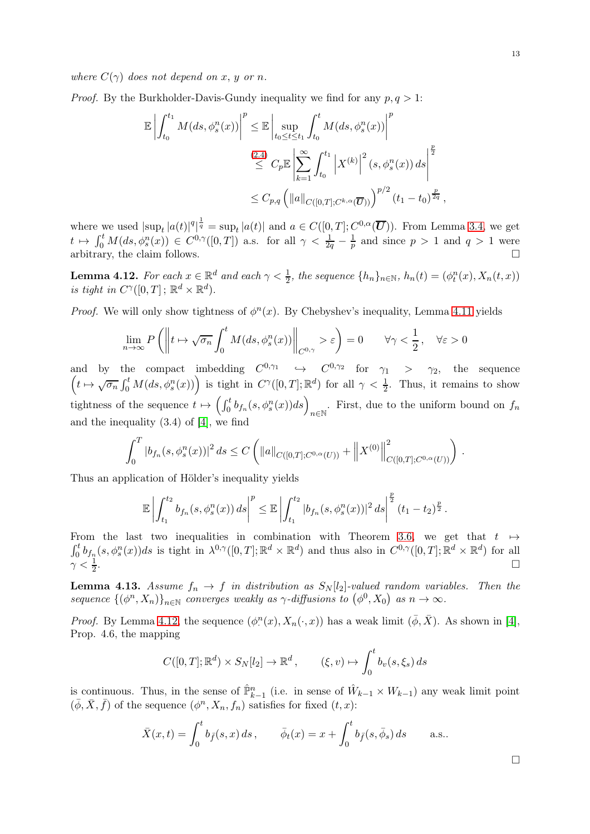*Proof.* By the Burkholder-Davis-Gundy inequality we find for any  $p, q > 1$ :

$$
\mathbb{E} \left| \int_{t_0}^{t_1} M(ds, \phi_s^n(x)) \right|^p \leq \mathbb{E} \left| \sup_{t_0 \leq t \leq t_1} \int_{t_0}^t M(ds, \phi_s^n(x)) \right|^p
$$
  

$$
\leq C_p \mathbb{E} \left| \sum_{k=1}^{\infty} \int_{t_0}^{t_1} \left| X^{(k)} \right|^2 (s, \phi_s^n(x)) ds \right|^{\frac{p}{2}}
$$
  

$$
\leq C_{p,q} \left( \|a\|_{C([0,T];C^{k,\alpha}(\overline{U}))} \right)^{p/2} (t_1 - t_0)^{\frac{p}{2q}},
$$

where we used  $|\sup_t |a(t)|^q$  $\frac{1}{q} = \sup_t |a(t)|$  and  $a \in C([0, T]; C^{0, \alpha}(\overline{U}))$ . From Lemma [3.4,](#page-7-2) we get  $t \mapsto \int_0^t M(ds, \phi_s^n(x)) \in C^{0,\gamma}([0,T])$  a.s. for all  $\gamma < \frac{1}{2q} - \frac{1}{p}$  $\frac{1}{p}$  and since  $p > 1$  and  $q > 1$  were arbitrary, the claim follows.

<span id="page-13-0"></span>**Lemma 4.12.** For each  $x \in \mathbb{R}^d$  and each  $\gamma < \frac{1}{2}$ , the sequence  $\{h_n\}_{n \in \mathbb{N}}$ ,  $h_n(t) = (\phi_t^n(x), X_n(t, x))$ is tight in  $C^{\gamma}([0,T]; \mathbb{R}^d \times \mathbb{R}^d)$ .

*Proof.* We will only show tightness of  $\phi^n(x)$ . By Chebyshev's inequality, Lemma [4.11](#page-12-2) yields

$$
\lim_{n \to \infty} P\left( \left\| t \mapsto \sqrt{\sigma_n} \int_0^t M(ds, \phi_s^n(x)) \right\|_{C^{0,\gamma}} > \varepsilon \right) = 0 \qquad \forall \gamma < \frac{1}{2}, \quad \forall \varepsilon > 0
$$

and by the compact imbedding  $C^{0,\gamma_1} \hookrightarrow C^{0,\gamma_2}$  for  $\gamma_1 > \gamma_2$ , the sequence  $\left(t\mapsto \sqrt{\sigma_n}\int_0^t M(ds,\phi_s^n(x))\right)$  is tight in  $C^{\gamma}([0,T];\mathbb{R}^d)$  for all  $\gamma<\frac{1}{2}$ . Thus, it remains to show tightness of the sequence  $t \mapsto \left(\int_0^t b_{f_n}(s, \phi_s^n(x))ds\right)_{n \in \mathbb{N}}$ . First, due to the uniform bound on  $f_n$ and the inequality (3.4) of [\[4\]](#page-17-21), we find

$$
\int_0^T |b_{f_n}(s,\phi_s^n(x))|^2 ds \leq C \left( \|a\|_{C([0,T];C^{0,\alpha}(U))} + \|X^{(0)}\|_{C([0,T];C^{0,\alpha}(U))}^2 \right).
$$

Thus an application of Hölder's inequality yields

$$
\mathbb{E}\left|\int_{t_1}^{t_2} b_{f_n}(s,\phi_s^n(x))\,ds\right|^p \leq \mathbb{E}\left|\int_{t_1}^{t_2} |b_{f_n}(s,\phi_s^n(x))|^2\,ds\right|^{\frac{p}{2}}(t_1-t_2)^{\frac{p}{2}}.
$$

From the last two inequalities in combination with Theorem 3[.6,](#page-8-1) we get that  $t \mapsto$  $\int_0^t$  $\int_0^t b_{f_n}(s, \phi_s^n(x))ds$  is tight in  $\lambda^{0,\gamma}([0,T]; \mathbb{R}^d \times \mathbb{R}^d)$  and thus also in  $C^{0,\gamma}([0,T]; \mathbb{R}^d \times \mathbb{R}^d)$  for all  $\gamma < \frac{1}{2}$ .<br>1980 - Paul Barbara, politikar eta biztanleria (h. 1980).<br>1980 - Johann Barbara, politikar eta biztanleria (h. 1980).

**Lemma 4.13.** Assume  $f_n \to f$  in distribution as  $S_N[l_2]$ -valued random variables. Then the sequence  $\{(\phi^n, X_n)\}_{n\in\mathbb{N}}$  converges weakly as  $\gamma$ -diffusions to  $(\phi^0, X_0)$  as  $n \to \infty$ .

*Proof.* By Lemma [4.12,](#page-13-0) the sequence  $(\phi^n(x), X_n(\cdot, x))$  has a weak limit  $(\bar{\phi}, \bar{X})$ . As shown in [\[4\]](#page-17-21), Prop. 4.6, the mapping

$$
C([0,T];\mathbb{R}^d)\times S_N[l_2]\to\mathbb{R}^d\,,\qquad (\xi,v)\mapsto \int_0^t b_v(s,\xi_s)\,ds
$$

is continuous. Thus, in the sense of  $\hat{\mathbb{P}}_{k-1}^n$  (i.e. in sense of  $\hat{W}_{k-1} \times W_{k-1}$ ) any weak limit point  $(\bar{\phi}, \bar{X}, \bar{f})$  of the sequence  $(\phi^n, X_n, f_n)$  satisfies for fixed  $(t, x)$ :

$$
\bar{X}(x,t) = \int_0^t b_{\bar{f}}(s,x) ds, \qquad \bar{\phi}_t(x) = x + \int_0^t b_{\bar{f}}(s,\bar{\phi}_s) ds \qquad \text{a.s..}
$$

 $\Box$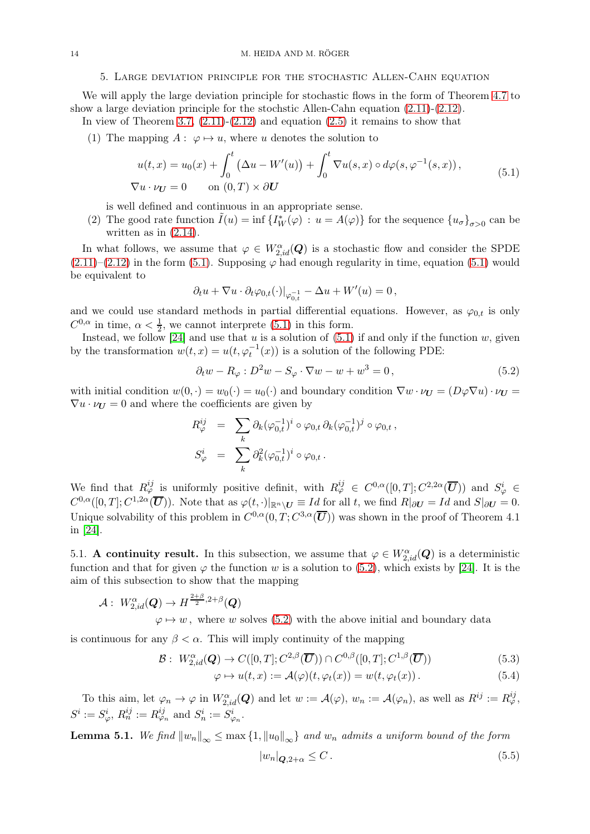### 5. Large deviation principle for the stochastic Allen-Cahn equation

<span id="page-14-1"></span>We will apply the large deviation principle for stochastic flows in the form of Theorem [4.7](#page-11-0) to show a large deviation principle for the stochstic Allen-Cahn equation [\(2.11\)](#page-5-2)-[\(2.12\)](#page-5-3).

In view of Theorem [3.7,](#page-8-0)  $(2.11)-(2.12)$  $(2.11)-(2.12)$  and equation  $(2.5)$  it remains to show that

(1) The mapping  $A: \varphi \mapsto u$ , where u denotes the solution to

<span id="page-14-2"></span>
$$
u(t,x) = u_0(x) + \int_0^t \left(\Delta u - W'(u)\right) + \int_0^t \nabla u(s,x) \circ d\varphi(s,\varphi^{-1}(s,x)),
$$
  

$$
\nabla u \cdot \nu_U = 0 \quad \text{on } (0,T) \times \partial U
$$
 (5.1)

is well defined and continuous in an appropriate sense.

(2) The good rate function  $\tilde{I}(u) = \inf \{ I^*_W(\varphi) : u = A(\varphi) \}$  for the sequence  $\{ u_{\sigma} \}_{\sigma > 0}$  can be written as in  $(2.14)$ .

In what follows, we assume that  $\varphi \in W_{2,id}^{\alpha}(\mathbf{Q})$  is a stochastic flow and consider the SPDE  $(2.11)–(2.12)$  $(2.11)–(2.12)$  $(2.11)–(2.12)$  in the form [\(5.1\)](#page-14-2). Supposing  $\varphi$  had enough regularity in time, equation (5.1) would be equivalent to

$$
\partial_t u + \nabla u \cdot \partial_t \varphi_{0,t}(\cdot)|_{\varphi_{0,t}^{-1}} - \Delta u + W'(u) = 0\,,
$$

and we could use standard methods in partial differential equations. However, as  $\varphi_{0,t}$  is only  $C^{0,\alpha}$  in time,  $\alpha < \frac{1}{2}$ , we cannot interprete [\(5.1\)](#page-14-2) in this form.

Instead, we follow [\[24\]](#page-17-14) and use that u is a solution of  $(5.1)$  if and only if the function w, given by the transformation  $w(t, x) = u(t, \varphi_t^{-1}(x))$  is a solution of the following PDE:

<span id="page-14-3"></span>
$$
\partial_t w - R_\varphi : D^2 w - S_\varphi \cdot \nabla w - w + w^3 = 0, \qquad (5.2)
$$

with initial condition  $w(0, \cdot) = w_0(\cdot) = u_0(\cdot)$  and boundary condition  $\nabla w \cdot \nu_U = (D\varphi \nabla u) \cdot \nu_U =$  $\nabla u \cdot \nu_{\mathbf{U}} = 0$  and where the coefficients are given by

$$
R_{\varphi}^{ij} = \sum_{k} \partial_{k} (\varphi_{0,t}^{-1})^{i} \circ \varphi_{0,t} \partial_{k} (\varphi_{0,t}^{-1})^{j} \circ \varphi_{0,t},
$$
  

$$
S_{\varphi}^{i} = \sum_{k} \partial_{k}^{2} (\varphi_{0,t}^{-1})^{i} \circ \varphi_{0,t}.
$$

We find that  $R_{\varphi}^{ij}$  is uniformly positive definit, with  $R_{\varphi}^{ij} \in C^{0,\alpha}([0,T];C^{2,2\alpha}(\overline{U}))$  and  $S_{\varphi}^{i} \in$  $C^{0,\alpha}([0,T];C^{1,2\alpha}(\overline{\mathbf{U}}))$ . Note that as  $\varphi(t,\cdot)|_{\mathbb{R}^n\setminus\mathbf{U}}\equiv Id$  for all t, we find  $R|_{\partial\mathbf{U}}=Id$  and  $S|_{\partial\mathbf{U}}=0$ . Unique solvability of this problem in  $C^{0,\alpha}(0,T; C^{3,\alpha}(\overline{\bm{U}}))$  was shown in the proof of Theorem 4.1 in [\[24\]](#page-17-14).

<span id="page-14-0"></span>5.1. A continuity result. In this subsection, we assume that  $\varphi \in W^{\alpha}_{2, id}(Q)$  is a deterministic function and that for given  $\varphi$  the function w is a solution to [\(5.2\)](#page-14-3), which exists by [\[24\]](#page-17-14). It is the aim of this subsection to show that the mapping

$$
\mathcal{A}: \ W_{2,id}^{\alpha}(\boldsymbol{Q}) \to H^{\frac{2+\beta}{2},2+\beta}(\boldsymbol{Q})
$$

 $\mathcal B$ 

 $\varphi \mapsto w$ , where w solves [\(5.2\)](#page-14-3) with the above initial and boundary data

is continuous for any  $\beta < \alpha$ . This will imply continuity of the mapping

$$
: W_{2,id}^{\alpha}(\boldsymbol{Q}) \to C([0,T]; C^{2,\beta}(\overline{\boldsymbol{U}})) \cap C^{0,\beta}([0,T]; C^{1,\beta}(\overline{\boldsymbol{U}}))
$$
\n
$$
(5.3)
$$

$$
\varphi \mapsto u(t, x) := \mathcal{A}(\varphi)(t, \varphi_t(x)) = w(t, \varphi_t(x)). \tag{5.4}
$$

To this aim, let  $\varphi_n \to \varphi$  in  $W^{\alpha}_{2, id}(\mathbf{Q})$  and let  $w := \mathcal{A}(\varphi), w_n := \mathcal{A}(\varphi_n)$ , as well as  $R^{ij} := R^{ij}_{\varphi}$ ,  $S^i := S^i_\varphi, R^{ij}_n := R^{ij}_{\varphi_n}$  and  $S^i_n := S^i_{\varphi_n}$ .

<span id="page-14-5"></span>**Lemma 5.1.** We find  $||w_n||_{\infty} \leq \max\{1, ||w_0||_{\infty}\}\$ and  $w_n$  admits a uniform bound of the form

<span id="page-14-4"></span>
$$
|w_n|_{\mathbf{Q}, 2+\alpha} \le C. \tag{5.5}
$$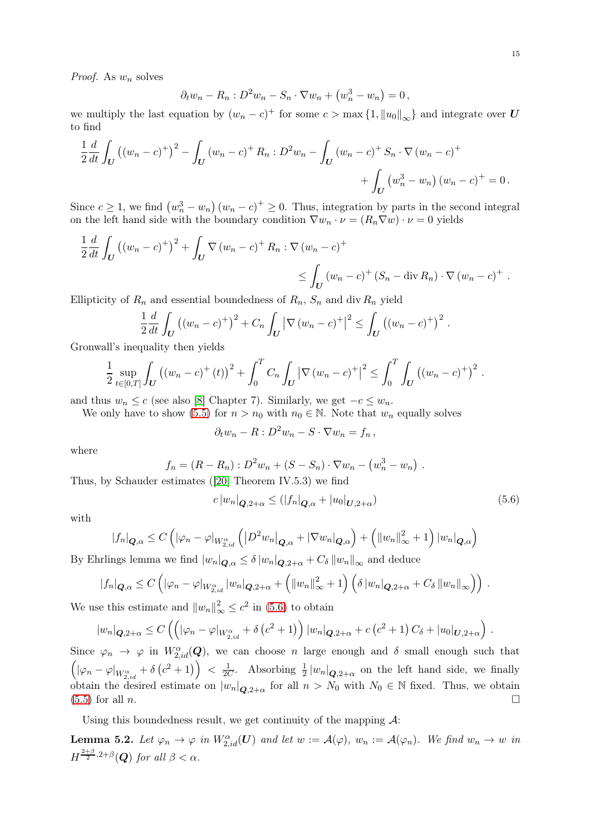*Proof.* As  $w_n$  solves

$$
\partial_t w_n - R_n : D^2 w_n - S_n \cdot \nabla w_n + (w_n^3 - w_n) = 0,
$$

we multiply the last equation by  $(w_n - c)^+$  for some  $c > \max\{1, ||u_0||_{\infty}\}\$  and integrate over U to find

$$
\frac{1}{2}\frac{d}{dt}\int_{U} ((w_n - c)^{+})^2 - \int_{U} (w_n - c)^{+} R_n : D^2 w_n - \int_{U} (w_n - c)^{+} S_n \cdot \nabla (w_n - c)^{+} + \int_{U} (w_n^3 - w_n) (w_n - c)^{+} = 0.
$$

Since  $c \ge 1$ , we find  $(w_n^3 - w_n)(w_n - c)^+ \ge 0$ . Thus, integration by parts in the second integral on the left hand side with the boundary condition  $\nabla w_n \cdot \nu = (R_n \nabla w) \cdot \nu = 0$  yields

$$
\frac{1}{2} \frac{d}{dt} \int_{U} ((w_n - c)^{+})^2 + \int_{U} \nabla (w_n - c)^{+} R_n : \nabla (w_n - c)^{+}
$$
\n
$$
\leq \int_{U} (w_n - c)^{+} (S_n - \text{div } R_n) \cdot \nabla (w_n - c)^{+}.
$$

Ellipticity of  $R_n$  and essential boundedness of  $R_n$ ,  $S_n$  and div  $R_n$  yield

$$
\frac{1}{2}\frac{d}{dt}\int_{U} ((w_{n}-c)^{+})^{2} + C_{n}\int_{U} |\nabla (w_{n}-c)^{+}|^{2} \leq \int_{U} ((w_{n}-c)^{+})^{2} .
$$

Gronwall's inequality then yields

$$
\frac{1}{2} \sup_{t \in [0,T]} \int_{\mathbf{U}} \left( (w_n - c)^{+}(t) \right)^{2} + \int_{0}^{T} C_n \int_{\mathbf{U}} \left| \nabla (w_n - c)^{+} \right|^{2} \leq \int_{0}^{T} \int_{\mathbf{U}} \left( (w_n - c)^{+} \right)^{2}.
$$

and thus  $w_n \leq c$  (see also [\[8\]](#page-17-23) Chapter 7). Similarly, we get  $-c \leq w_n$ .

We only have to show [\(5.5\)](#page-14-4) for  $n > n_0$  with  $n_0 \in \mathbb{N}$ . Note that  $w_n$  equally solves

$$
\partial_t w_n - R : D^2 w_n - S \cdot \nabla w_n = f_n \,,
$$

where

$$
f_n = (R - R_n) : D^2 w_n + (S - S_n) \cdot \nabla w_n - (w_n^3 - w_n) .
$$

Thus, by Schauder estimates ([\[20\]](#page-17-24) Theorem IV.5.3) we find

<span id="page-15-0"></span>
$$
c|w_n|_{\mathbf{Q},2+\alpha} \le (|f_n|_{\mathbf{Q},\alpha} + |u_0|_{\mathbf{U},2+\alpha})
$$
\n
$$
(5.6)
$$

with

$$
|f_n|_{\mathbf{Q},\alpha} \leq C\left(|\varphi_n - \varphi|_{W_{2,id}^{\alpha}}\left(|D^2w_n|_{\mathbf{Q},\alpha} + |\nabla w_n|_{\mathbf{Q},\alpha}\right) + \left(||w_n||_{\infty}^2 + 1\right)|w_n|_{\mathbf{Q},\alpha}\right)
$$

By Ehrlings lemma we find  $|w_n|_{\mathbf{Q},\alpha} \leq \delta |w_n|_{\mathbf{Q},2+\alpha} + C_{\delta} ||w_n||_{\infty}$  and deduce

$$
|f_n|_{\mathbf{Q},\alpha} \leq C\left( |\varphi_n - \varphi|_{W_{2,id}^{\alpha}} |w_n|_{\mathbf{Q},2+\alpha} + \left( \|w_n\|_{\infty}^2 + 1 \right) \left( \delta |w_n|_{\mathbf{Q},2+\alpha} + C_{\delta} \|w_n\|_{\infty} \right) \right).
$$

We use this estimate and  $||w_n||_{\infty}^2 \leq c^2$  in [\(5.6\)](#page-15-0) to obtain

$$
|w_n|_{\mathbf{Q},2+\alpha} \leq C\left(\left(|\varphi_n - \varphi|_{W_{2,id}^{\alpha}} + \delta\left(c^2 + 1\right)\right)|w_n|_{\mathbf{Q},2+\alpha} + c\left(c^2 + 1\right)C_{\delta} + |u_0|_{\mathbf{U},2+\alpha}\right).
$$

Since  $\varphi_n \to \varphi$  in  $W^{\alpha}_{2,id}(Q)$ , we can choose n large enough and  $\delta$  small enough such that  $\left( |\varphi_n - \varphi|_{W_{2,id}^\alpha} + \delta \left( c^2 + 1 \right) \right) < \frac{1}{20}$  $\frac{1}{2C}$ . Absorbing  $\frac{1}{2}|w_n|_{\mathbf{Q},2+\alpha}$  on the left hand side, we finally obtain the desired estimate on  $|w_n|_{Q,2+\alpha}$  for all  $n > N_0$  with  $N_0 \in \mathbb{N}$  fixed. Thus, we obtain  $(5.5)$  for all *n*.

Using this boundedness result, we get continuity of the mapping  $\mathcal{A}$ :

<span id="page-15-1"></span>**Lemma 5.2.** Let  $\varphi_n \to \varphi$  in  $W_{2,id}^{\alpha}(U)$  and let  $w := \mathcal{A}(\varphi)$ ,  $w_n := \mathcal{A}(\varphi_n)$ . We find  $w_n \to w$  in  $H^{\frac{2+\beta}{2},2+\beta}(Q)$  for all  $\beta < \alpha$ .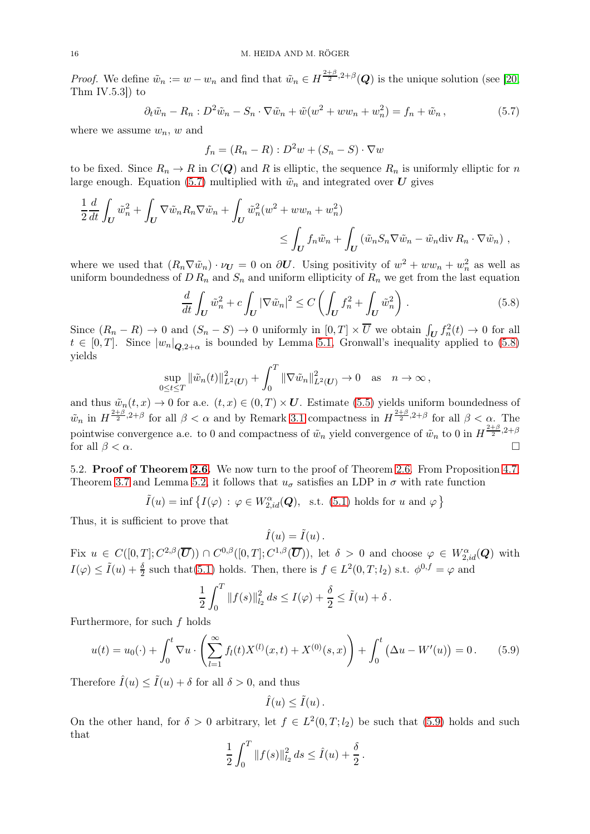*Proof.* We define  $\tilde{w}_n := w - w_n$  and find that  $\tilde{w}_n \in H^{\frac{2+\beta}{2},2+\beta}(\mathbf{Q})$  is the unique solution (see [\[20,](#page-17-24) Thm IV.5.3 $\vert$ ) to

<span id="page-16-0"></span>
$$
\partial_t \tilde{w}_n - R_n : D^2 \tilde{w}_n - S_n \cdot \nabla \tilde{w}_n + \tilde{w}(w^2 + ww_n + w_n^2) = f_n + \tilde{w}_n, \qquad (5.7)
$$

where we assume  $w_n$ , w and

$$
f_n = (R_n - R) : D^2w + (S_n - S) \cdot \nabla w
$$

to be fixed. Since  $R_n \to R$  in  $C(Q)$  and R is elliptic, the sequence  $R_n$  is uniformly elliptic for n large enough. Equation [\(5.7\)](#page-16-0) multiplied with  $\tilde{w}_n$  and integrated over U gives

$$
\frac{1}{2} \frac{d}{dt} \int_{U} \tilde{w}_n^2 + \int_{U} \nabla \tilde{w}_n R_n \nabla \tilde{w}_n + \int_{U} \tilde{w}_n^2 (w^2 + ww_n + w_n^2) \le \int_{U} f_n \tilde{w}_n + \int_{U} (\tilde{w}_n S_n \nabla \tilde{w}_n - \tilde{w}_n \text{div } R_n \cdot \nabla \tilde{w}_n) ,
$$

where we used that  $(R_n \nabla \tilde{w}_n) \cdot \nu_U = 0$  on  $\partial U$ . Using positivity of  $w^2 + w w_n + w_n^2$  as well as uniform boundedness of  $D R_n$  and  $S_n$  and uniform ellipticity of  $R_n$  we get from the last equation

<span id="page-16-1"></span>
$$
\frac{d}{dt} \int_{\mathbf{U}} \tilde{w}_n^2 + c \int_{\mathbf{U}} |\nabla \tilde{w}_n|^2 \le C \left( \int_{\mathbf{U}} f_n^2 + \int_{\mathbf{U}} \tilde{w}_n^2 \right). \tag{5.8}
$$

Since  $(R_n - R) \to 0$  and  $(S_n - S) \to 0$  uniformly in  $[0, T] \times \overline{U}$  we obtain  $\int_U f_n^2(t) \to 0$  for all  $t \in [0,T]$ . Since  $|w_n|_{\mathbf{Q},2+\alpha}$  is bounded by Lemma [5.1,](#page-14-5) Gronwall's inequality applied to [\(5.8\)](#page-16-1) yields

$$
\sup_{0 \le t \le T} \|\tilde{w}_n(t)\|_{L^2(U)}^2 + \int_0^T \|\nabla \tilde{w}_n\|_{L^2(U)}^2 \to 0 \quad \text{as} \quad n \to \infty,
$$

and thus  $\tilde{w}_n(t, x) \to 0$  for a.e.  $(t, x) \in (0, T) \times U$ . Estimate [\(5.5\)](#page-14-4) yields uniform boundedness of  $\tilde{w}_n$  in  $H^{\frac{2+\beta}{2},2+\beta}$  for all  $\beta < \alpha$  and by Remark [3.1](#page-6-3) compactness in  $H^{\frac{2+\beta}{2},2+\beta}$  for all  $\beta < \alpha$ . The pointwise convergence a.e. to 0 and compactness of  $\tilde{w}_n$  yield convergence of  $\tilde{w}_n$  to 0 in  $H^{\frac{2+\beta}{2},2+\beta}$ for all  $\beta < \alpha$ .

5.2. Proof of Theorem [2.6.](#page-5-0) We now turn to the proof of Theorem [2.6.](#page-5-0) From Proposition [4.7,](#page-11-0) Theorem [3.7](#page-8-0) and Lemma [5.2,](#page-15-1) it follows that  $u_{\sigma}$  satisfies an LDP in  $\sigma$  with rate function

$$
\tilde{I}(u) = \inf \left\{ I(\varphi) \, : \, \varphi \in W_{2,id}^{\alpha}(\mathbf{Q}), \text{ s.t. (5.1) holds for } u \text{ and } \varphi \right\}
$$

Thus, it is sufficient to prove that

$$
\hat{I}(u) = \tilde{I}(u) \, .
$$

Fix  $u \in C([0,T]; C^{2,\beta}(\overline{\mathbf{U}})) \cap C^{0,\beta}([0,T]; C^{1,\beta}(\overline{\mathbf{U}}))$ , let  $\delta > 0$  and choose  $\varphi \in W_{2,id}^{\alpha}(\mathbf{Q})$  with  $I(\varphi) \le \tilde{I}(u) + \frac{\delta}{2}$  such that[\(5.1\)](#page-14-2) holds. Then, there is  $f \in L^2(0,T; l_2)$  s.t.  $\phi^{0,f} = \varphi$  and

$$
\frac{1}{2} \int_0^T \|f(s)\|_{l_2}^2 ds \le I(\varphi) + \frac{\delta}{2} \le \tilde{I}(u) + \delta.
$$

Furthermore, for such  $f$  holds

<span id="page-16-2"></span>
$$
u(t) = u_0(\cdot) + \int_0^t \nabla u \cdot \left( \sum_{l=1}^\infty f_l(t) X^{(l)}(x, t) + X^{(0)}(s, x) \right) + \int_0^t \left( \Delta u - W'(u) \right) = 0. \tag{5.9}
$$

Therefore  $\hat{I}(u) \leq \tilde{I}(u) + \delta$  for all  $\delta > 0$ , and thus

$$
\hat{I}(u) \leq \tilde{I}(u) .
$$

On the other hand, for  $\delta > 0$  arbitrary, let  $f \in L^2(0,T; l_2)$  be such that [\(5.9\)](#page-16-2) holds and such that

$$
\frac{1}{2} \int_0^T \|f(s)\|_{l_2}^2 ds \le \hat{I}(u) + \frac{\delta}{2}.
$$